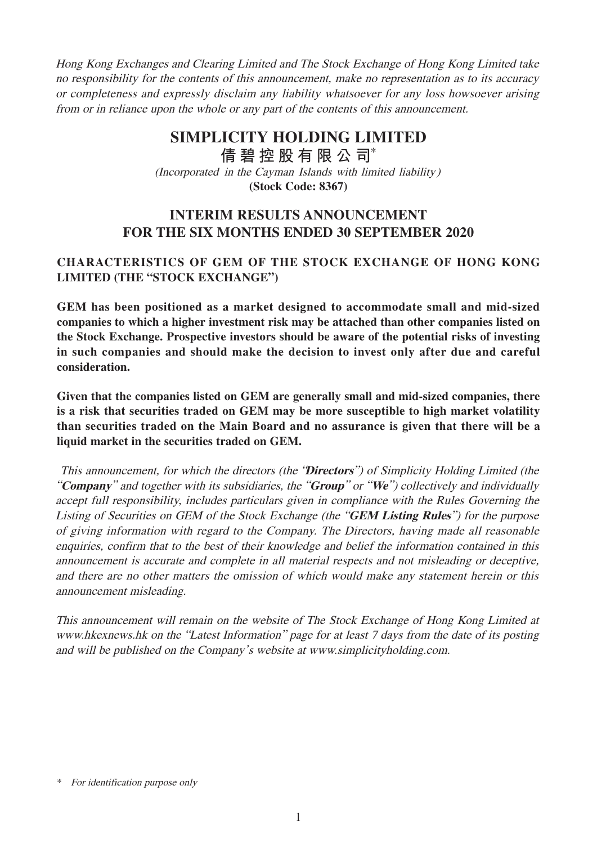Hong Kong Exchanges and Clearing Limited and The Stock Exchange of Hong Kong Limited take no responsibility for the contents of this announcement, make no representation as to its accuracy or completeness and expressly disclaim any liability whatsoever for any loss howsoever arising from or in reliance upon the whole or any part of the contents of this announcement.

# **SIMPLICITY HOLDING LIMITED**

(Incorporated in the Cayman Islands with limited liability) **(Stock Code: 8367) 倩碧控股有限公 司**\*

# **INTERIM RESULTS ANNOUNCEMENT FOR THE SIX MONTHS ENDED 30 SEPTEMBER 2020**

# **CHARACTERISTICS OF GEM OF THE STOCK EXCHANGE OF HONG KONG LIMITED (THE "STOCK EXCHANGE")**

**GEM has been positioned as a market designed to accommodate small and mid-sized companies to which a higher investment risk may be attached than other companies listed on the Stock Exchange. Prospective investors should be aware of the potential risks of investing in such companies and should make the decision to invest only after due and careful consideration.** 

**Given that the companies listed on GEM are generally small and mid-sized companies, there is a risk that securities traded on GEM may be more susceptible to high market volatility than securities traded on the Main Board and no assurance is given that there will be a liquid market in the securities traded on GEM.**

 This announcement, for which the directors (the "**Directors**") of Simplicity Holding Limited (the "**Company**" and together with its subsidiaries, the "**Group**" or "**We**") collectively and individually accept full responsibility, includes particulars given in compliance with the Rules Governing the Listing of Securities on GEM of the Stock Exchange (the "**GEM Listing Rules**") for the purpose of giving information with regard to the Company. The Directors, having made all reasonable enquiries, confirm that to the best of their knowledge and belief the information contained in this announcement is accurate and complete in all material respects and not misleading or deceptive, and there are no other matters the omission of which would make any statement herein or this announcement misleading.

This announcement will remain on the website of The Stock Exchange of Hong Kong Limited at www.hkexnews.hk on the "Latest Information" page for at least 7 days from the date of its posting and will be published on the Company's website at www.simplicityholding.com.

<sup>\*</sup> For identification purpose only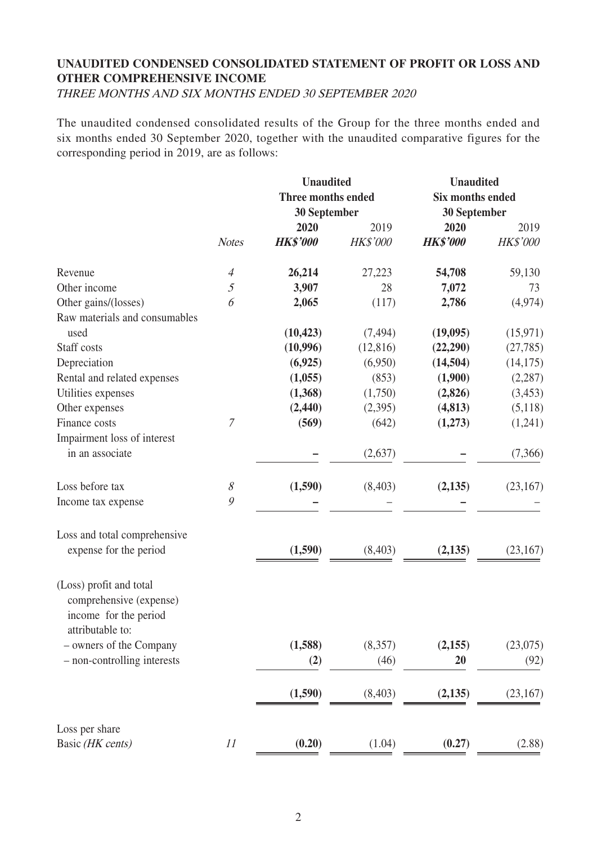# **UNAUDITED CONDENSED CONSOLIDATED STATEMENT OF PROFIT OR LOSS AND OTHER COMPREHENSIVE INCOME**

THREE MONTHS AND SIX MONTHS ENDED 30 SEPTEMBER 2020

The unaudited condensed consolidated results of the Group for the three months ended and six months ended 30 September 2020, together with the unaudited comparative figures for the corresponding period in 2019, are as follows:

|                                                                             |                          | <b>Unaudited</b>   | <b>Unaudited</b> |                     |                 |  |
|-----------------------------------------------------------------------------|--------------------------|--------------------|------------------|---------------------|-----------------|--|
|                                                                             |                          | Three months ended |                  | Six months ended    |                 |  |
|                                                                             |                          | 30 September       |                  | <b>30 September</b> |                 |  |
|                                                                             |                          | 2020               | 2019             | 2020                | 2019            |  |
|                                                                             | <b>Notes</b>             | <b>HK\$'000</b>    | <b>HK\$'000</b>  | <b>HK\$'000</b>     | <b>HK\$'000</b> |  |
| Revenue                                                                     | $\overline{\mathcal{A}}$ | 26,214             | 27,223           | 54,708              | 59,130          |  |
| Other income                                                                | 5                        | 3,907              | 28               | 7,072               | 73              |  |
| Other gains/(losses)                                                        | 6                        | 2,065              | (117)            | 2,786               | (4,974)         |  |
| Raw materials and consumables                                               |                          |                    |                  |                     |                 |  |
| used                                                                        |                          | (10, 423)          | (7, 494)         | (19,095)            | (15, 971)       |  |
| Staff costs                                                                 |                          | (10,996)           | (12, 816)        | (22,290)            | (27, 785)       |  |
| Depreciation                                                                |                          | (6,925)            | (6,950)          | (14,504)            | (14, 175)       |  |
| Rental and related expenses                                                 |                          | (1,055)            | (853)            | (1,900)             | (2, 287)        |  |
| Utilities expenses                                                          |                          | (1,368)            | (1,750)          | (2,826)             | (3,453)         |  |
| Other expenses                                                              |                          | (2, 440)           | (2,395)          | (4, 813)            | (5,118)         |  |
| Finance costs                                                               | $\mathcal I$             | (569)              | (642)            | (1,273)             | (1,241)         |  |
| Impairment loss of interest                                                 |                          |                    |                  |                     |                 |  |
| in an associate                                                             |                          |                    | (2,637)          |                     | (7,366)         |  |
|                                                                             |                          |                    |                  |                     |                 |  |
| Loss before tax                                                             | $\mathcal S$             | (1,590)            | (8, 403)         | (2, 135)            | (23,167)        |  |
| Income tax expense                                                          | $\mathcal{G}$            |                    |                  |                     |                 |  |
|                                                                             |                          |                    |                  |                     |                 |  |
| Loss and total comprehensive                                                |                          |                    |                  |                     |                 |  |
| expense for the period                                                      |                          | (1,590)            | (8,403)          | (2,135)             | (23,167)        |  |
| (Loss) profit and total<br>comprehensive (expense)<br>income for the period |                          |                    |                  |                     |                 |  |
| attributable to:                                                            |                          |                    |                  |                     |                 |  |
| - owners of the Company                                                     |                          | (1,588)            | (8,357)          | (2,155)             | (23,075)        |  |
|                                                                             |                          |                    |                  | 20                  |                 |  |
| - non-controlling interests                                                 |                          | (2)                | (46)             |                     | (92)            |  |
|                                                                             |                          | (1,590)            | (8,403)          | (2,135)             | (23, 167)       |  |
| Loss per share                                                              |                          |                    |                  |                     |                 |  |
| Basic (HK cents)                                                            | 11                       | (0.20)             | (1.04)           | (0.27)              | (2.88)          |  |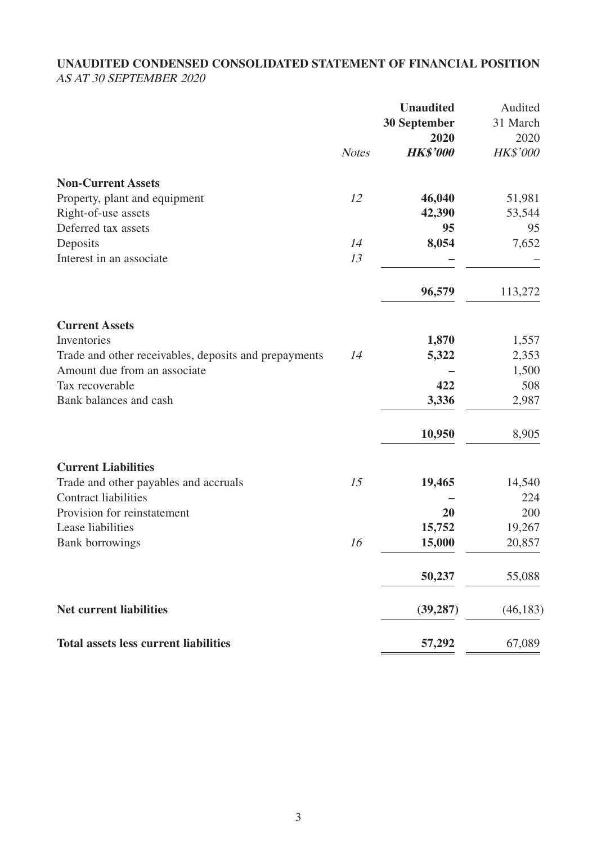# **UNAUDITED CONDENSED CONSOLIDATED STATEMENT OF FINANCIAL POSITION** AS AT 30 SEPTEMBER 2020

|                                                       |              | <b>Unaudited</b><br><b>30 September</b><br>2020 | Audited<br>31 March<br>2020 |
|-------------------------------------------------------|--------------|-------------------------------------------------|-----------------------------|
|                                                       | <b>Notes</b> | <b>HK\$'000</b>                                 | <b>HK\$'000</b>             |
| <b>Non-Current Assets</b>                             |              |                                                 |                             |
| Property, plant and equipment                         | 12           | 46,040                                          | 51,981                      |
| Right-of-use assets                                   |              | 42,390                                          | 53,544                      |
| Deferred tax assets                                   |              | 95                                              | 95                          |
| Deposits                                              | 14           | 8,054                                           | 7,652                       |
| Interest in an associate                              | 13           |                                                 |                             |
|                                                       |              | 96,579                                          | 113,272                     |
| <b>Current Assets</b>                                 |              |                                                 |                             |
| Inventories                                           |              | 1,870                                           | 1,557                       |
| Trade and other receivables, deposits and prepayments | 14           | 5,322                                           | 2,353                       |
| Amount due from an associate                          |              |                                                 | 1,500                       |
| Tax recoverable                                       |              | 422                                             | 508                         |
| Bank balances and cash                                |              | 3,336                                           | 2,987                       |
|                                                       |              | 10,950                                          | 8,905                       |
| <b>Current Liabilities</b>                            |              |                                                 |                             |
| Trade and other payables and accruals                 | 15           | 19,465                                          | 14,540                      |
| <b>Contract liabilities</b>                           |              |                                                 | 224                         |
| Provision for reinstatement                           |              | 20                                              | 200                         |
| Lease liabilities                                     |              | 15,752                                          | 19,267                      |
| <b>Bank borrowings</b>                                | 16           | 15,000                                          | 20,857                      |
|                                                       |              | 50,237                                          | 55,088                      |
| <b>Net current liabilities</b>                        |              | (39, 287)                                       | (46, 183)                   |
| <b>Total assets less current liabilities</b>          |              | 57,292                                          | 67,089                      |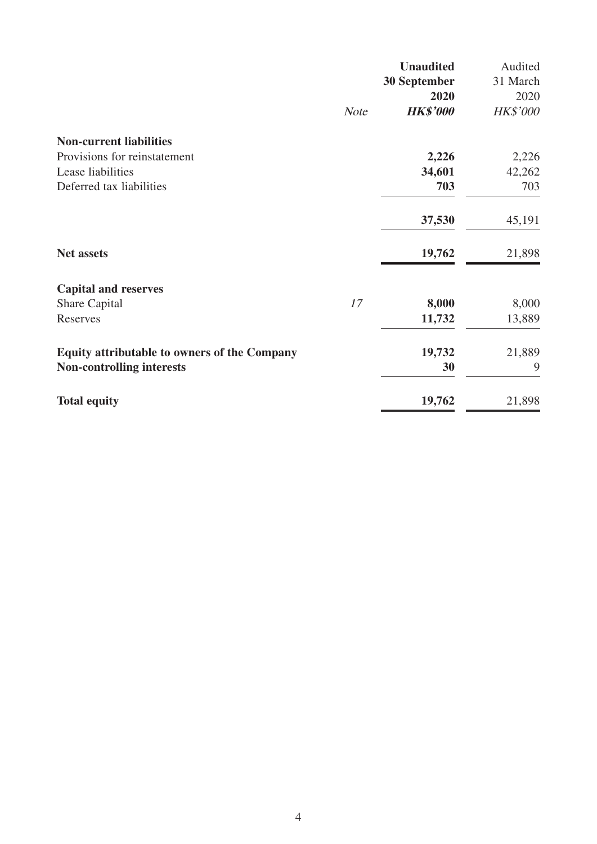|                                                     |             | <b>Unaudited</b> | Audited         |
|-----------------------------------------------------|-------------|------------------|-----------------|
|                                                     |             | 30 September     | 31 March        |
|                                                     |             | 2020             | 2020            |
|                                                     | <b>Note</b> | <b>HK\$'000</b>  | <b>HK\$'000</b> |
| <b>Non-current liabilities</b>                      |             |                  |                 |
| Provisions for reinstatement                        |             | 2,226            | 2,226           |
| Lease liabilities                                   |             | 34,601           | 42,262          |
| Deferred tax liabilities                            |             | 703              | 703             |
|                                                     |             | 37,530           | 45,191          |
| <b>Net assets</b>                                   |             | 19,762           | 21,898          |
| <b>Capital and reserves</b>                         |             |                  |                 |
| Share Capital                                       | 17          | 8,000            | 8,000           |
| Reserves                                            |             | 11,732           | 13,889          |
| <b>Equity attributable to owners of the Company</b> |             | 19,732           | 21,889          |
| <b>Non-controlling interests</b>                    |             | 30               | 9               |
| <b>Total equity</b>                                 |             | 19,762           | 21,898          |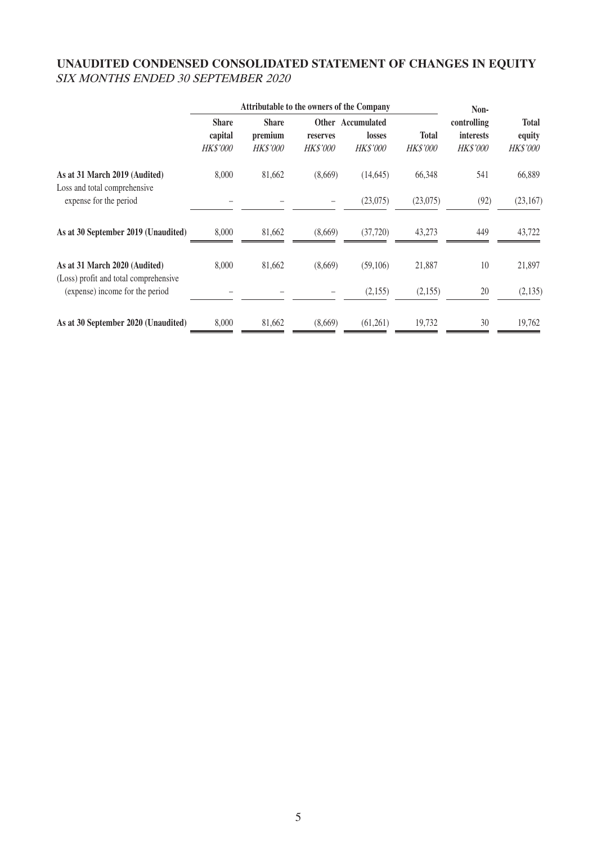# **UNAUDITED CONDENSED CONSOLIDATED STATEMENT OF CHANGES IN EQUITY** SIX MONTHS ENDED 30 SEPTEMBER 2020

|                                                                        | <b>Attributable to the owners of the Company</b> |                                            |                             |                                                |                                 | Non-                                               |                                    |  |
|------------------------------------------------------------------------|--------------------------------------------------|--------------------------------------------|-----------------------------|------------------------------------------------|---------------------------------|----------------------------------------------------|------------------------------------|--|
|                                                                        | <b>Share</b><br>capital<br><b>HK\$'000</b>       | <b>Share</b><br>premium<br><b>HK\$'000</b> | reserves<br><b>HK\$'000</b> | Other Accumulated<br>losses<br><b>HK\$'000</b> | <b>Total</b><br><b>HK\$'000</b> | controlling<br><i>interests</i><br><i>HK\$'000</i> | <b>Total</b><br>equity<br>HK\$'000 |  |
| As at 31 March 2019 (Audited)<br>Loss and total comprehensive          | 8,000                                            | 81,662                                     | (8,669)                     | (14, 645)                                      | 66,348                          | 541                                                | 66,889                             |  |
| expense for the period                                                 |                                                  |                                            |                             | (23,075)                                       | (23,075)                        | (92)                                               | (23,167)                           |  |
| As at 30 September 2019 (Unaudited)                                    | 8,000                                            | 81,662                                     | (8,669)                     | (37, 720)                                      | 43,273                          | 449                                                | 43,722                             |  |
| As at 31 March 2020 (Audited)<br>(Loss) profit and total comprehensive | 8,000                                            | 81,662                                     | (8,669)                     | (59,106)                                       | 21,887                          | 10                                                 | 21,897                             |  |
| (expense) income for the period                                        |                                                  |                                            |                             | (2,155)                                        | (2,155)                         | 20                                                 | (2, 135)                           |  |
| As at 30 September 2020 (Unaudited)                                    | 8,000                                            | 81,662                                     | (8,669)                     | (61,261)                                       | 19,732                          | 30                                                 | 19,762                             |  |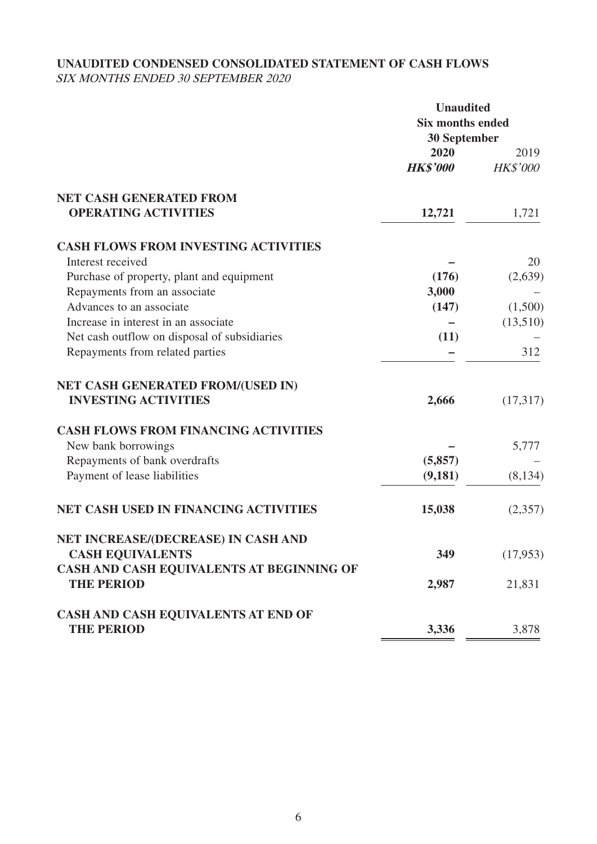# **UNAUDITED CONDENSED CONSOLIDATED STATEMENT OF CASH FLOWS**

SIX MONTHS ENDED 30 SEPTEMBER 2020

|                                                                | <b>Unaudited</b>        |                 |  |
|----------------------------------------------------------------|-------------------------|-----------------|--|
|                                                                | <b>Six months ended</b> |                 |  |
|                                                                | <b>30 September</b>     |                 |  |
|                                                                | 2020                    | 2019            |  |
|                                                                | <b>HK\$'000</b>         | <b>HK\$'000</b> |  |
| <b>NET CASH GENERATED FROM</b>                                 |                         |                 |  |
| <b>OPERATING ACTIVITIES</b>                                    | 12,721                  | 1,721           |  |
| <b>CASH FLOWS FROM INVESTING ACTIVITIES</b>                    |                         |                 |  |
| Interest received                                              |                         | 20              |  |
| Purchase of property, plant and equipment                      | (176)                   | (2,639)         |  |
| Repayments from an associate                                   | 3,000                   |                 |  |
| Advances to an associate                                       | (147)                   | (1,500)         |  |
| Increase in interest in an associate                           |                         | (13,510)        |  |
| Net cash outflow on disposal of subsidiaries                   | (11)                    |                 |  |
| Repayments from related parties                                |                         | 312             |  |
| NET CASH GENERATED FROM/(USED IN)                              |                         |                 |  |
| <b>INVESTING ACTIVITIES</b>                                    | 2,666                   | (17,317)        |  |
| <b>CASH FLOWS FROM FINANCING ACTIVITIES</b>                    |                         |                 |  |
| New bank borrowings                                            |                         | 5,777           |  |
| Repayments of bank overdrafts                                  | (5,857)                 |                 |  |
| Payment of lease liabilities                                   | (9,181)                 | (8, 134)        |  |
| <b>NET CASH USED IN FINANCING ACTIVITIES</b>                   | 15,038                  | (2,357)         |  |
| NET INCREASE/(DECREASE) IN CASH AND                            |                         |                 |  |
| <b>CASH EQUIVALENTS</b>                                        | 349                     | (17,953)        |  |
| CASH AND CASH EQUIVALENTS AT BEGINNING OF<br><b>THE PERIOD</b> | 2,987                   | 21,831          |  |
|                                                                |                         |                 |  |
| CASH AND CASH EQUIVALENTS AT END OF                            |                         |                 |  |
| <b>THE PERIOD</b>                                              | 3,336                   | 3,878           |  |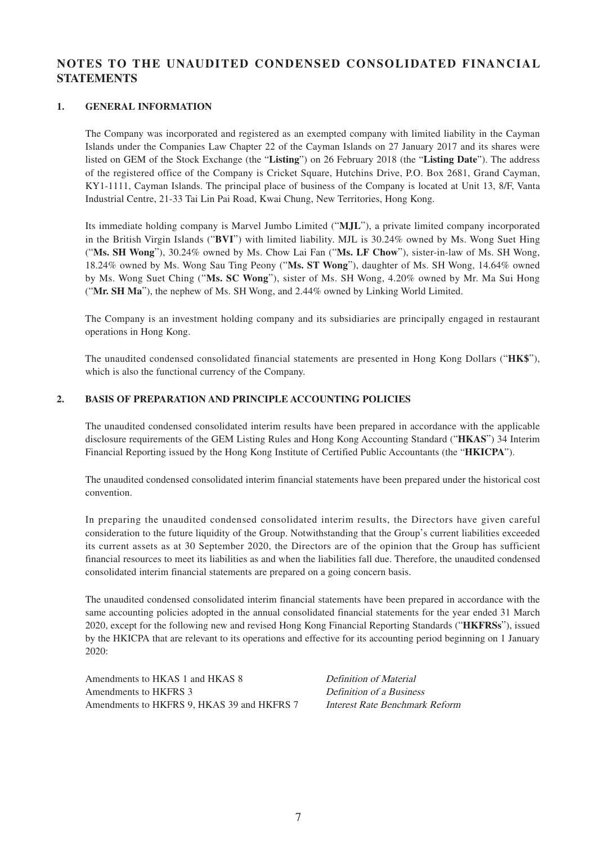### **NOTES TO THE UNAUDITED CONDENSED CONSOLIDATED FINANCIAL STATEMENTS**

#### **1. GENERAL INFORMATION**

The Company was incorporated and registered as an exempted company with limited liability in the Cayman Islands under the Companies Law Chapter 22 of the Cayman Islands on 27 January 2017 and its shares were listed on GEM of the Stock Exchange (the "**Listing**") on 26 February 2018 (the "**Listing Date**"). The address of the registered office of the Company is Cricket Square, Hutchins Drive, P.O. Box 2681, Grand Cayman, KY1-1111, Cayman Islands. The principal place of business of the Company is located at Unit 13, 8/F, Vanta Industrial Centre, 21-33 Tai Lin Pai Road, Kwai Chung, New Territories, Hong Kong.

Its immediate holding company is Marvel Jumbo Limited ("**MJL**"), a private limited company incorporated in the British Virgin Islands ("**BVI**") with limited liability. MJL is 30.24% owned by Ms. Wong Suet Hing ("**Ms. SH Wong**"), 30.24% owned by Ms. Chow Lai Fan ("**Ms. LF Chow**"), sister-in-law of Ms. SH Wong, 18.24% owned by Ms. Wong Sau Ting Peony ("**Ms. ST Wong**"), daughter of Ms. SH Wong, 14.64% owned by Ms. Wong Suet Ching ("**Ms. SC Wong**"), sister of Ms. SH Wong, 4.20% owned by Mr. Ma Sui Hong ("**Mr. SH Ma**"), the nephew of Ms. SH Wong, and 2.44% owned by Linking World Limited.

The Company is an investment holding company and its subsidiaries are principally engaged in restaurant operations in Hong Kong.

The unaudited condensed consolidated financial statements are presented in Hong Kong Dollars ("**HK\$**"), which is also the functional currency of the Company.

#### **2. BASIS OF PREPARATION AND PRINCIPLE ACCOUNTING POLICIES**

The unaudited condensed consolidated interim results have been prepared in accordance with the applicable disclosure requirements of the GEM Listing Rules and Hong Kong Accounting Standard ("**HKAS**") 34 Interim Financial Reporting issued by the Hong Kong Institute of Certified Public Accountants (the "**HKICPA**").

The unaudited condensed consolidated interim financial statements have been prepared under the historical cost convention.

In preparing the unaudited condensed consolidated interim results, the Directors have given careful consideration to the future liquidity of the Group. Notwithstanding that the Group's current liabilities exceeded its current assets as at 30 September 2020, the Directors are of the opinion that the Group has sufficient financial resources to meet its liabilities as and when the liabilities fall due. Therefore, the unaudited condensed consolidated interim financial statements are prepared on a going concern basis.

The unaudited condensed consolidated interim financial statements have been prepared in accordance with the same accounting policies adopted in the annual consolidated financial statements for the year ended 31 March 2020, except for the following new and revised Hong Kong Financial Reporting Standards ("**HKFRSs**"), issued by the HKICPA that are relevant to its operations and effective for its accounting period beginning on 1 January 2020:

Amendments to HKAS 1 and HKAS 8 Definition of Material Amendments to HKFRS 3 Definition of a Business Amendments to HKFRS 9, HKAS 39 and HKFRS 7 Interest Rate Benchmark Reform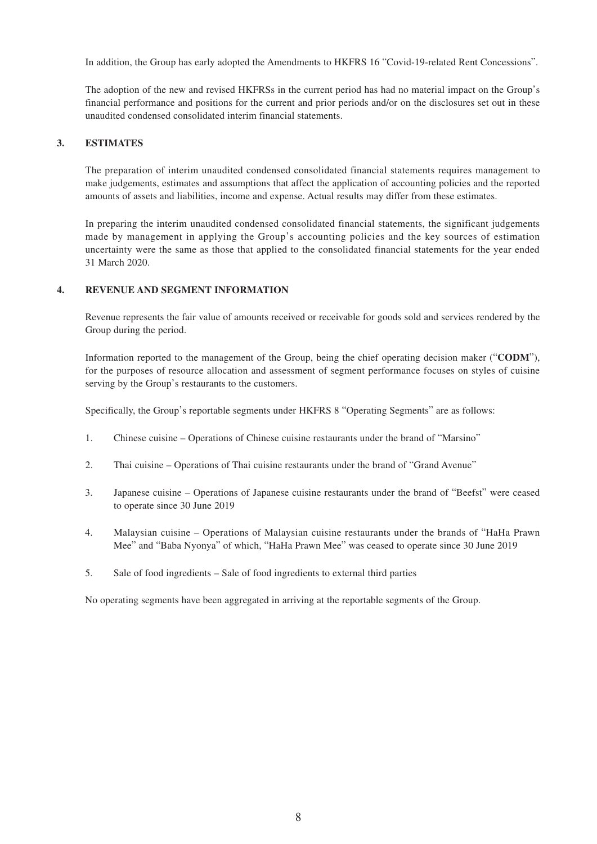In addition, the Group has early adopted the Amendments to HKFRS 16 "Covid-19-related Rent Concessions".

The adoption of the new and revised HKFRSs in the current period has had no material impact on the Group's financial performance and positions for the current and prior periods and/or on the disclosures set out in these unaudited condensed consolidated interim financial statements.

#### **3. ESTIMATES**

The preparation of interim unaudited condensed consolidated financial statements requires management to make judgements, estimates and assumptions that affect the application of accounting policies and the reported amounts of assets and liabilities, income and expense. Actual results may differ from these estimates.

In preparing the interim unaudited condensed consolidated financial statements, the significant judgements made by management in applying the Group's accounting policies and the key sources of estimation uncertainty were the same as those that applied to the consolidated financial statements for the year ended 31 March 2020.

#### **4. REVENUE AND SEGMENT INFORMATION**

Revenue represents the fair value of amounts received or receivable for goods sold and services rendered by the Group during the period.

Information reported to the management of the Group, being the chief operating decision maker ("**CODM**"), for the purposes of resource allocation and assessment of segment performance focuses on styles of cuisine serving by the Group's restaurants to the customers.

Specifically, the Group's reportable segments under HKFRS 8 "Operating Segments" are as follows:

- 1. Chinese cuisine Operations of Chinese cuisine restaurants under the brand of "Marsino"
- 2. Thai cuisine Operations of Thai cuisine restaurants under the brand of "Grand Avenue"
- 3. Japanese cuisine Operations of Japanese cuisine restaurants under the brand of "Beefst" were ceased to operate since 30 June 2019
- 4. Malaysian cuisine Operations of Malaysian cuisine restaurants under the brands of "HaHa Prawn Mee" and "Baba Nyonya" of which, "HaHa Prawn Mee" was ceased to operate since 30 June 2019
- 5. Sale of food ingredients Sale of food ingredients to external third parties

No operating segments have been aggregated in arriving at the reportable segments of the Group.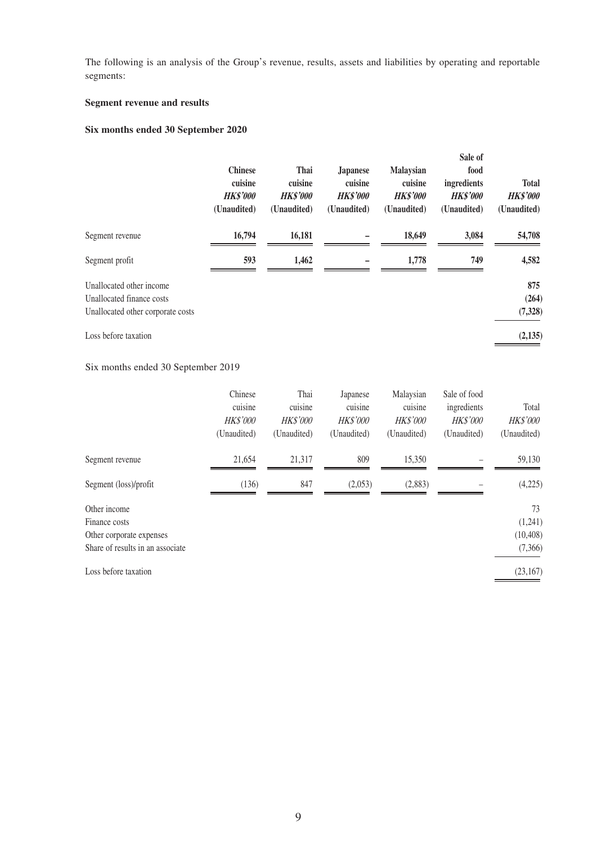The following is an analysis of the Group's revenue, results, assets and liabilities by operating and reportable segments:

#### **Segment revenue and results**

### **Six months ended 30 September 2020**

|                                   | <b>Chinese</b><br>cuisine<br><b>HK\$'000</b><br>(Unaudited) | Thai<br>cuisine<br><b>HK\$'000</b><br>(Unaudited) | <b>Japanese</b><br>cuisine<br><b>HK\$'000</b><br>(Unaudited) | <b>Malaysian</b><br>cuisine<br><b>HK\$'000</b><br>(Unaudited) | Sale of<br>food<br>ingredients<br><b>HK\$'000</b><br>(Unaudited) | <b>Total</b><br><b>HK\$'000</b><br>(Unaudited) |
|-----------------------------------|-------------------------------------------------------------|---------------------------------------------------|--------------------------------------------------------------|---------------------------------------------------------------|------------------------------------------------------------------|------------------------------------------------|
| Segment revenue                   | 16,794                                                      | 16,181                                            |                                                              | 18,649                                                        | 3,084                                                            | 54,708                                         |
| Segment profit                    | 593                                                         | 1,462                                             |                                                              | 1,778                                                         | 749                                                              | 4,582                                          |
| Unallocated other income          |                                                             |                                                   |                                                              |                                                               |                                                                  | 875                                            |
| Unallocated finance costs         |                                                             |                                                   |                                                              |                                                               |                                                                  | (264)                                          |
| Unallocated other corporate costs |                                                             |                                                   |                                                              |                                                               |                                                                  | (7,328)                                        |
| Loss before taxation              |                                                             |                                                   |                                                              |                                                               |                                                                  | (2, 135)                                       |

#### Six months ended 30 September 2019

|                                                                                               | Chinese<br>cuisine<br>HK\$'000<br>(Unaudited) | Thai<br>cuisine<br><b>HK\$'000</b><br>(Unaudited) | Japanese<br>cuisine<br><b>HK\$'000</b><br>(Unaudited) | Malaysian<br>cuisine<br><b>HK\$'000</b><br>(Unaudited) | Sale of food<br>ingredients<br><b>HK\$'000</b><br>(Unaudited) | Total<br>HK\$'000<br>(Unaudited)      |
|-----------------------------------------------------------------------------------------------|-----------------------------------------------|---------------------------------------------------|-------------------------------------------------------|--------------------------------------------------------|---------------------------------------------------------------|---------------------------------------|
| Segment revenue                                                                               | 21,654                                        | 21,317                                            | 809                                                   | 15,350                                                 |                                                               | 59,130                                |
| Segment (loss)/profit                                                                         | (136)                                         | 847                                               | (2,053)                                               | (2,883)                                                |                                                               | (4,225)                               |
| Other income<br>Finance costs<br>Other corporate expenses<br>Share of results in an associate |                                               |                                                   |                                                       |                                                        |                                                               | 73<br>(1,241)<br>(10, 408)<br>(7,366) |
| Loss before taxation                                                                          |                                               |                                                   |                                                       |                                                        |                                                               | (23, 167)                             |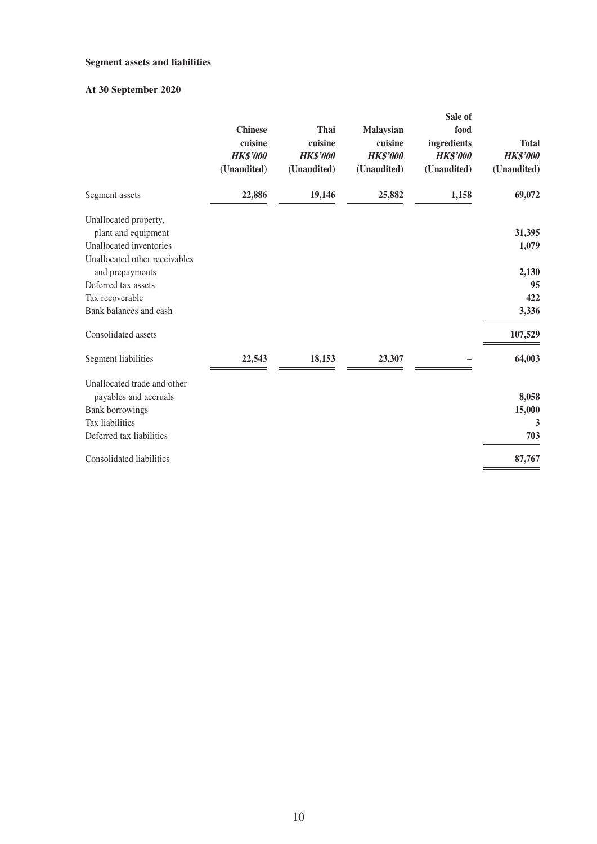#### **Segment assets and liabilities**

### **At 30 September 2020**

|                                          | <b>Chinese</b><br>cuisine<br><b>HK\$'000</b> | Thai<br>cuisine<br><b>HK\$'000</b> | Malaysian<br>cuisine<br><b>HK\$'000</b> | Sale of<br>food<br>ingredients<br><b>HK\$'000</b> | <b>Total</b><br><b>HK\$'000</b> |
|------------------------------------------|----------------------------------------------|------------------------------------|-----------------------------------------|---------------------------------------------------|---------------------------------|
|                                          | (Unaudited)                                  | (Unaudited)                        | (Unaudited)                             | (Unaudited)                                       | (Unaudited)                     |
| Segment assets                           | 22,886                                       | 19,146                             | 25,882                                  | 1,158                                             | 69,072                          |
| Unallocated property,                    |                                              |                                    |                                         |                                                   |                                 |
| plant and equipment                      |                                              |                                    |                                         |                                                   | 31,395                          |
| Unallocated inventories                  |                                              |                                    |                                         |                                                   | 1,079                           |
| Unallocated other receivables            |                                              |                                    |                                         |                                                   |                                 |
| and prepayments                          |                                              |                                    |                                         |                                                   | 2,130                           |
| Deferred tax assets                      |                                              |                                    |                                         |                                                   | 95                              |
| Tax recoverable                          |                                              |                                    |                                         |                                                   | 422                             |
| Bank balances and cash                   |                                              |                                    |                                         |                                                   | 3,336                           |
| Consolidated assets                      |                                              |                                    |                                         |                                                   | 107,529                         |
| Segment liabilities                      | 22,543                                       | 18,153                             | 23,307                                  |                                                   | 64,003                          |
| Unallocated trade and other              |                                              |                                    |                                         |                                                   | 8,058                           |
| payables and accruals<br>Bank borrowings |                                              |                                    |                                         |                                                   | 15,000                          |
| Tax liabilities                          |                                              |                                    |                                         |                                                   | 3                               |
| Deferred tax liabilities                 |                                              |                                    |                                         |                                                   | 703                             |
|                                          |                                              |                                    |                                         |                                                   |                                 |
| Consolidated liabilities                 |                                              |                                    |                                         |                                                   | 87,767                          |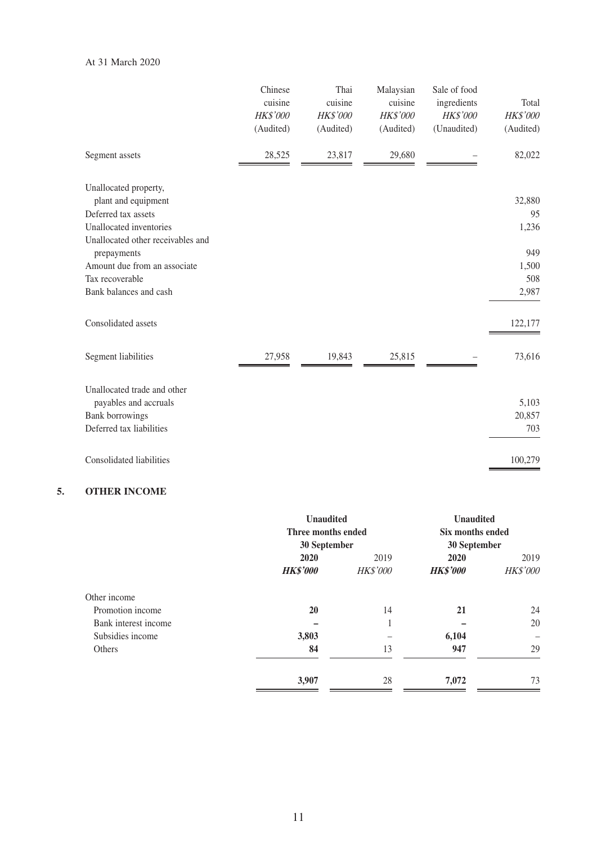#### At 31 March 2020

|                                              | Chinese<br>cuisine<br>HK\$'000 | Thai<br>cuisine<br>HK\$'000 | Malaysian<br>cuisine<br>HK\$'000 | Sale of food<br>ingredients<br>HK\$'000 | Total<br>HK\$'000 |
|----------------------------------------------|--------------------------------|-----------------------------|----------------------------------|-----------------------------------------|-------------------|
|                                              | (Audited)                      | (Audited)                   | (Audited)                        | (Unaudited)                             | (Audited)         |
| Segment assets                               | 28,525                         | 23,817                      | 29,680                           |                                         | 82,022            |
| Unallocated property,<br>plant and equipment |                                |                             |                                  |                                         | 32,880            |
| Deferred tax assets                          |                                |                             |                                  |                                         | 95                |
| Unallocated inventories                      |                                |                             |                                  |                                         | 1,236             |
| Unallocated other receivables and            |                                |                             |                                  |                                         |                   |
| prepayments<br>Amount due from an associate  |                                |                             |                                  |                                         | 949               |
| Tax recoverable                              |                                |                             |                                  |                                         | 1,500<br>508      |
| Bank balances and cash                       |                                |                             |                                  |                                         | 2,987             |
|                                              |                                |                             |                                  |                                         |                   |
| Consolidated assets                          |                                |                             |                                  |                                         | 122,177           |
| Segment liabilities                          | 27,958                         | 19,843                      | 25,815                           |                                         | 73,616            |
| Unallocated trade and other                  |                                |                             |                                  |                                         |                   |
| payables and accruals                        |                                |                             |                                  |                                         | 5,103             |
| <b>Bank borrowings</b>                       |                                |                             |                                  |                                         | 20,857            |
| Deferred tax liabilities                     |                                |                             |                                  |                                         | 703               |
| Consolidated liabilities                     |                                |                             |                                  |                                         | 100,279           |

### **5. OTHER INCOME**

|                      | <b>Unaudited</b><br>Three months ended<br>30 September |                 | <b>Unaudited</b><br>Six months ended<br>30 September |                 |
|----------------------|--------------------------------------------------------|-----------------|------------------------------------------------------|-----------------|
|                      | 2020                                                   | 2019            | 2020                                                 | 2019            |
|                      | <b>HK\$'000</b>                                        | <b>HK\$'000</b> | <b>HK\$'000</b>                                      | <b>HK\$'000</b> |
| Other income         |                                                        |                 |                                                      |                 |
| Promotion income     | <b>20</b>                                              | 14              | 21                                                   | 24              |
| Bank interest income |                                                        | $\mathbf{1}$    |                                                      | 20              |
| Subsidies income     | 3,803                                                  |                 | 6,104                                                |                 |
| Others               | 84                                                     | 13              | 947                                                  | 29              |
|                      | 3,907                                                  | 28              | 7,072                                                | 73              |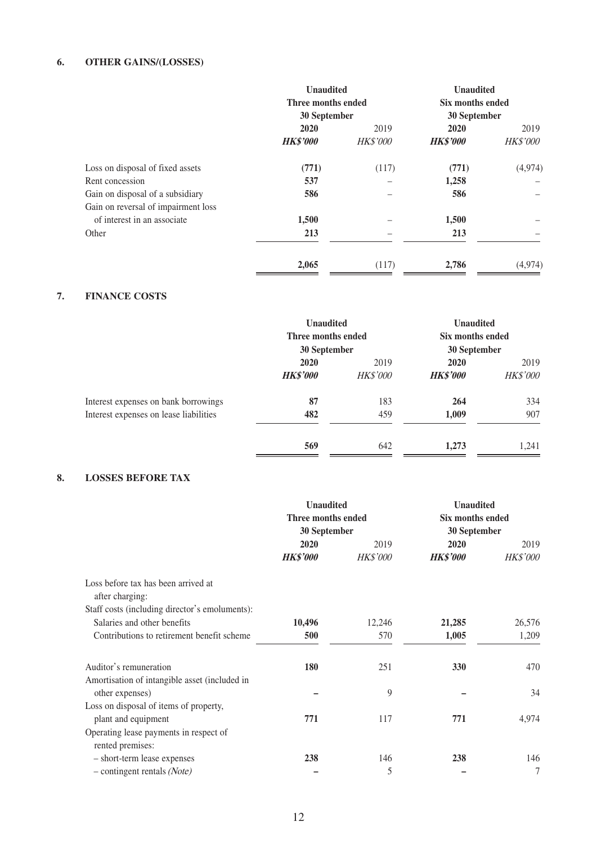#### **6. OTHER GAINS/(LOSSES)**

|                                     | <b>Unaudited</b><br>Three months ended |                 | <b>Unaudited</b><br>Six months ended |                 |
|-------------------------------------|----------------------------------------|-----------------|--------------------------------------|-----------------|
|                                     | 30 September<br>2020                   | 2019            | 30 September<br>2020<br>2019         |                 |
|                                     | <b>HK\$'000</b>                        | <b>HK\$'000</b> | <b>HK\$'000</b>                      | <b>HK\$'000</b> |
| Loss on disposal of fixed assets    | (771)                                  | (117)           | (771)                                | (4,974)         |
| Rent concession                     | 537                                    |                 | 1,258                                |                 |
| Gain on disposal of a subsidiary    | 586                                    |                 | 586                                  |                 |
| Gain on reversal of impairment loss |                                        |                 |                                      |                 |
| of interest in an associate         | 1,500                                  |                 | 1,500                                |                 |
| Other                               | 213                                    |                 | 213                                  |                 |
|                                     | 2,065                                  | (117)           | 2,786                                | (4,974)         |

#### **7. FINANCE COSTS**

|                                        | <b>Unaudited</b><br>Three months ended<br>30 September<br>2020<br>2019 |                 | <b>Unaudited</b><br>Six months ended<br>30 September<br>2020 |                         |
|----------------------------------------|------------------------------------------------------------------------|-----------------|--------------------------------------------------------------|-------------------------|
|                                        |                                                                        |                 |                                                              |                         |
|                                        | <b>HK\$'000</b>                                                        | <b>HK\$'000</b> | <b>HK\$'000</b>                                              | 2019<br><b>HK\$'000</b> |
| Interest expenses on bank borrowings   | 87                                                                     | 183             | 264                                                          | 334                     |
| Interest expenses on lease liabilities | 482                                                                    | 459             | 1,009                                                        | 907                     |
|                                        | 569                                                                    | 642             | 1,273                                                        | 1,241                   |

#### **8. LOSSES BEFORE TAX**

|                                                        | <b>Unaudited</b>   |                 | <b>Unaudited</b> |                 |
|--------------------------------------------------------|--------------------|-----------------|------------------|-----------------|
|                                                        | Three months ended |                 | Six months ended |                 |
|                                                        | 30 September       |                 | 30 September     |                 |
|                                                        | 2020               | 2019            | 2020             | 2019            |
|                                                        | <b>HK\$'000</b>    | <b>HK\$'000</b> | <b>HK\$'000</b>  | <b>HK\$'000</b> |
| Loss before tax has been arrived at<br>after charging: |                    |                 |                  |                 |
| Staff costs (including director's emoluments):         |                    |                 |                  |                 |
| Salaries and other benefits                            | 10,496             | 12,246          | 21,285           | 26,576          |
| Contributions to retirement benefit scheme             | 500                | 570             | 1,005            | 1,209           |
| Auditor's remuneration                                 | 180                | 251             | 330              | 470             |
| Amortisation of intangible asset (included in          |                    |                 |                  |                 |
| other expenses)                                        |                    | 9               |                  | 34              |
| Loss on disposal of items of property,                 |                    |                 |                  |                 |
| plant and equipment                                    | 771                | 117             | 771              | 4,974           |
| Operating lease payments in respect of                 |                    |                 |                  |                 |
| rented premises:                                       |                    |                 |                  |                 |
| - short-term lease expenses                            | 238                | 146             | 238              | 146             |
| $-$ contingent rentals (Note)                          |                    | 5               |                  | 7               |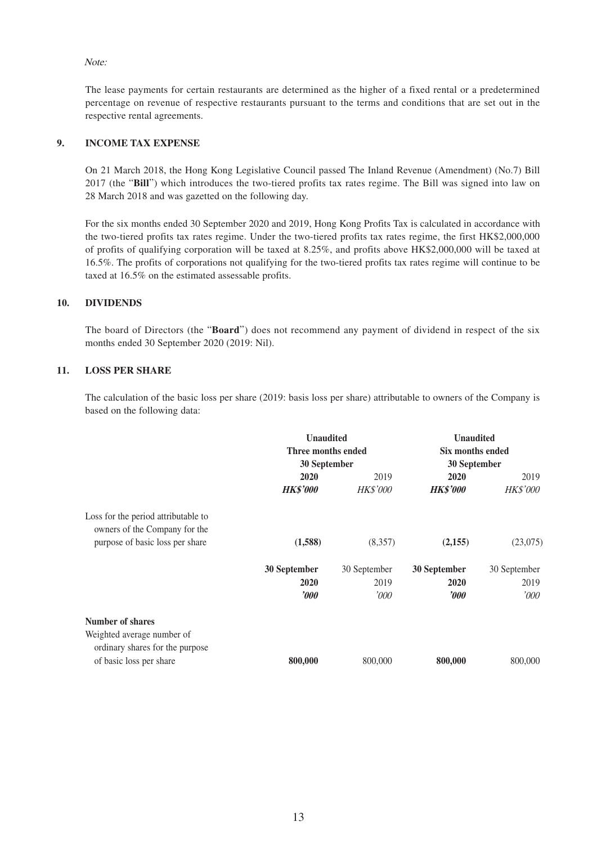Note:

The lease payments for certain restaurants are determined as the higher of a fixed rental or a predetermined percentage on revenue of respective restaurants pursuant to the terms and conditions that are set out in the respective rental agreements.

#### **9. INCOME TAX EXPENSE**

On 21 March 2018, the Hong Kong Legislative Council passed The Inland Revenue (Amendment) (No.7) Bill 2017 (the "**Bill**") which introduces the two-tiered profits tax rates regime. The Bill was signed into law on 28 March 2018 and was gazetted on the following day.

For the six months ended 30 September 2020 and 2019, Hong Kong Profits Tax is calculated in accordance with the two-tiered profits tax rates regime. Under the two-tiered profits tax rates regime, the first HK\$2,000,000 of profits of qualifying corporation will be taxed at 8.25%, and profits above HK\$2,000,000 will be taxed at 16.5%. The profits of corporations not qualifying for the two-tiered profits tax rates regime will continue to be taxed at 16.5% on the estimated assessable profits.

#### **10. DIVIDENDS**

The board of Directors (the "**Board**") does not recommend any payment of dividend in respect of the six months ended 30 September 2020 (2019: Nil).

#### **11. LOSS PER SHARE**

The calculation of the basic loss per share (2019: basis loss per share) attributable to owners of the Company is based on the following data:

|                                                               | <b>Unaudited</b><br>Three months ended |                 | <b>Unaudited</b><br>Six months ended |                 |
|---------------------------------------------------------------|----------------------------------------|-----------------|--------------------------------------|-----------------|
|                                                               |                                        |                 |                                      |                 |
|                                                               | 30 September                           |                 | 30 September                         |                 |
|                                                               | 2020                                   | 2019            | 2020<br>2019                         |                 |
|                                                               | <b>HK\$'000</b>                        | <b>HK\$'000</b> | <b>HK\$'000</b>                      | <b>HK\$'000</b> |
| Loss for the period attributable to                           |                                        |                 |                                      |                 |
| owners of the Company for the                                 |                                        |                 |                                      |                 |
| purpose of basic loss per share                               | (1,588)                                | (8,357)         | (2,155)                              | (23,075)        |
|                                                               | 30 September                           | 30 September    | 30 September                         | 30 September    |
|                                                               | 2020                                   | 2019            | 2020                                 | 2019            |
|                                                               | $\boldsymbol{\it v00}$                 | '000            | $\boldsymbol{\it v}$ 00              | '000'           |
| <b>Number of shares</b>                                       |                                        |                 |                                      |                 |
| Weighted average number of<br>ordinary shares for the purpose |                                        |                 |                                      |                 |
| of basic loss per share                                       | 800,000                                | 800,000         | 800,000                              | 800,000         |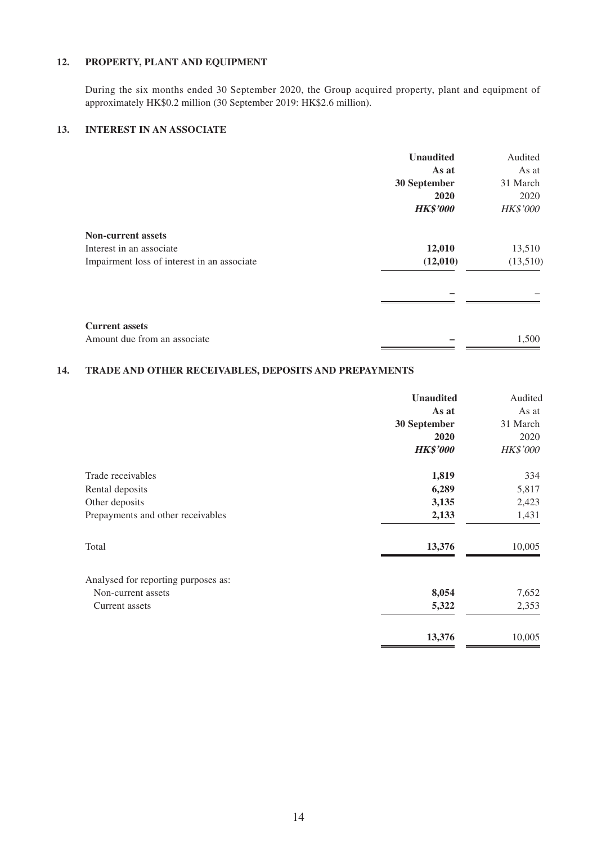#### **12. PROPERTY, PLANT AND EQUIPMENT**

During the six months ended 30 September 2020, the Group acquired property, plant and equipment of approximately HK\$0.2 million (30 September 2019: HK\$2.6 million).

#### **13. INTEREST IN AN ASSOCIATE**

|                                             | <b>Unaudited</b> | Audited         |
|---------------------------------------------|------------------|-----------------|
|                                             | As at            | As at           |
|                                             | 30 September     | 31 March        |
|                                             | 2020             | 2020            |
|                                             | <b>HK\$'000</b>  | <b>HK\$'000</b> |
| <b>Non-current assets</b>                   |                  |                 |
| Interest in an associate                    | 12,010           | 13,510          |
| Impairment loss of interest in an associate | (12,010)         | (13,510)        |
|                                             |                  |                 |
| <b>Current assets</b>                       |                  |                 |
| Amount due from an associate                |                  | 1,500           |

#### **14. TRADE AND OTHER RECEIVABLES, DEPOSITS AND PREPAYMENTS**

|                                     | <b>Unaudited</b> | Audited         |
|-------------------------------------|------------------|-----------------|
|                                     | As at            | As at           |
|                                     | 30 September     | 31 March        |
|                                     | 2020             | 2020            |
|                                     | <b>HK\$'000</b>  | <b>HK\$'000</b> |
| Trade receivables                   | 1,819            | 334             |
| Rental deposits                     | 6,289            | 5,817           |
| Other deposits                      | 3,135            | 2,423           |
| Prepayments and other receivables   | 2,133            | 1,431           |
| Total                               | 13,376           | 10,005          |
| Analysed for reporting purposes as: |                  |                 |
| Non-current assets                  | 8,054            | 7,652           |
| Current assets                      | 5,322            | 2,353           |
|                                     | 13,376           | 10,005          |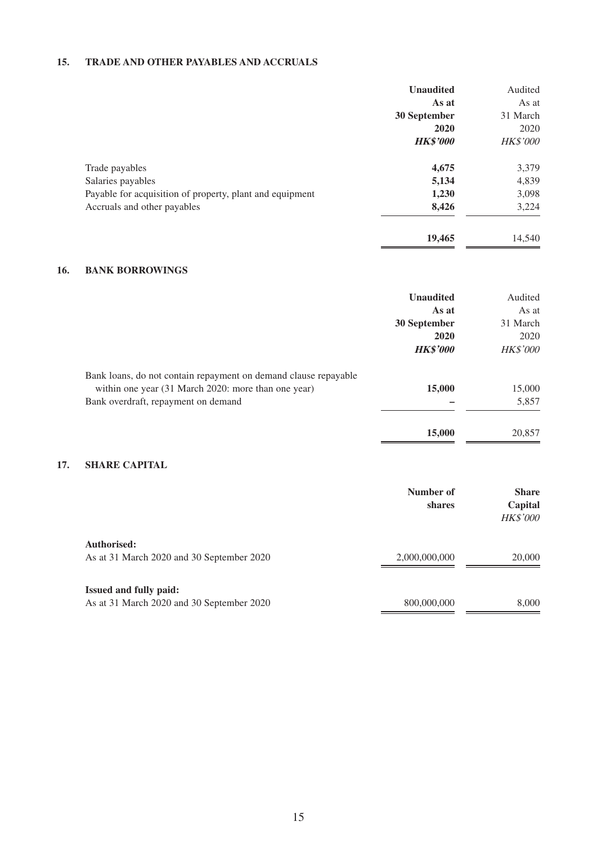#### **15. TRADE AND OTHER PAYABLES AND ACCRUALS**

|                                                          | <b>Unaudited</b> | Audited         |
|----------------------------------------------------------|------------------|-----------------|
|                                                          | As at            | As at           |
|                                                          | 30 September     | 31 March        |
|                                                          | 2020             | 2020            |
|                                                          | <b>HK\$'000</b>  | <b>HK\$'000</b> |
| Trade payables                                           | 4,675            | 3,379           |
| Salaries payables                                        | 5,134            | 4,839           |
| Payable for acquisition of property, plant and equipment | 1,230            | 3,098           |
| Accruals and other payables                              | 8,426            | 3,224           |
|                                                          | 19,465           | 14,540          |

#### **16. BANK BORROWINGS**

|     |                                                                 | <b>Unaudited</b> | Audited         |
|-----|-----------------------------------------------------------------|------------------|-----------------|
|     |                                                                 | As at            | As at           |
|     |                                                                 | 30 September     | 31 March        |
|     |                                                                 | 2020             | 2020            |
|     |                                                                 | <b>HK\$'000</b>  | <b>HK\$'000</b> |
|     | Bank loans, do not contain repayment on demand clause repayable |                  |                 |
|     | within one year (31 March 2020: more than one year)             | 15,000           | 15,000          |
|     | Bank overdraft, repayment on demand                             |                  | 5,857           |
|     |                                                                 | 15,000           | 20,857          |
| 17. | <b>SHARE CAPITAL</b>                                            |                  |                 |
|     |                                                                 | Number of        | <b>Share</b>    |
|     |                                                                 | shares           | Capital         |
|     |                                                                 |                  | HK\$'000        |
|     | Authorised:                                                     |                  |                 |
|     | As at 31 March 2020 and 30 September 2020                       | 2,000,000,000    | 20,000          |
|     | <b>Issued and fully paid:</b>                                   |                  |                 |
|     | As at 31 March 2020 and 30 September 2020                       | 800,000,000      | 8,000           |
|     |                                                                 |                  |                 |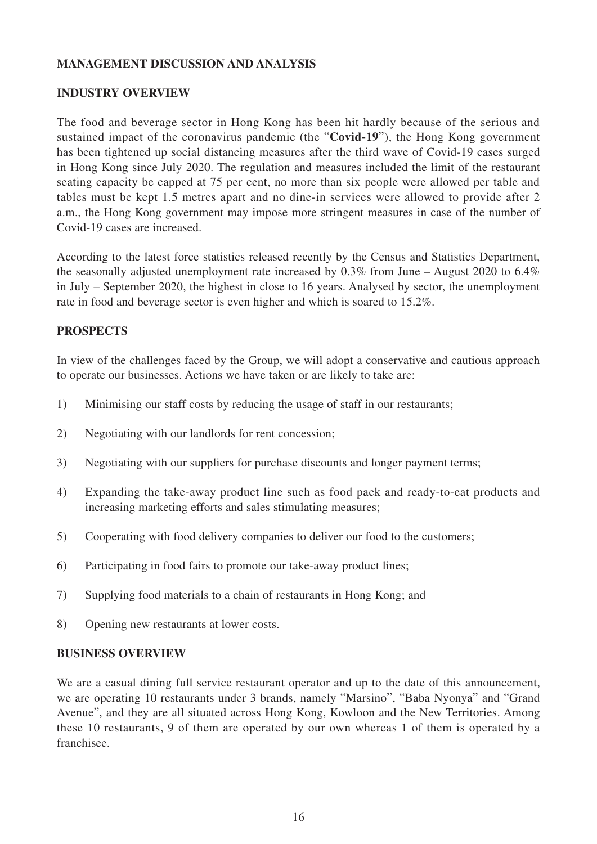### **MANAGEMENT DISCUSSION AND ANALYSIS**

#### **INDUSTRY OVERVIEW**

The food and beverage sector in Hong Kong has been hit hardly because of the serious and sustained impact of the coronavirus pandemic (the "**Covid-19**"), the Hong Kong government has been tightened up social distancing measures after the third wave of Covid-19 cases surged in Hong Kong since July 2020. The regulation and measures included the limit of the restaurant seating capacity be capped at 75 per cent, no more than six people were allowed per table and tables must be kept 1.5 metres apart and no dine-in services were allowed to provide after 2 a.m., the Hong Kong government may impose more stringent measures in case of the number of Covid-19 cases are increased.

According to the latest force statistics released recently by the Census and Statistics Department, the seasonally adjusted unemployment rate increased by 0.3% from June – August 2020 to 6.4% in July – September 2020, the highest in close to 16 years. Analysed by sector, the unemployment rate in food and beverage sector is even higher and which is soared to 15.2%.

#### **PROSPECTS**

In view of the challenges faced by the Group, we will adopt a conservative and cautious approach to operate our businesses. Actions we have taken or are likely to take are:

- 1) Minimising our staff costs by reducing the usage of staff in our restaurants;
- 2) Negotiating with our landlords for rent concession;
- 3) Negotiating with our suppliers for purchase discounts and longer payment terms;
- 4) Expanding the take-away product line such as food pack and ready-to-eat products and increasing marketing efforts and sales stimulating measures;
- 5) Cooperating with food delivery companies to deliver our food to the customers;
- 6) Participating in food fairs to promote our take-away product lines;
- 7) Supplying food materials to a chain of restaurants in Hong Kong; and
- 8) Opening new restaurants at lower costs.

#### **BUSINESS OVERVIEW**

We are a casual dining full service restaurant operator and up to the date of this announcement, we are operating 10 restaurants under 3 brands, namely "Marsino", "Baba Nyonya" and "Grand Avenue", and they are all situated across Hong Kong, Kowloon and the New Territories. Among these 10 restaurants, 9 of them are operated by our own whereas 1 of them is operated by a franchisee.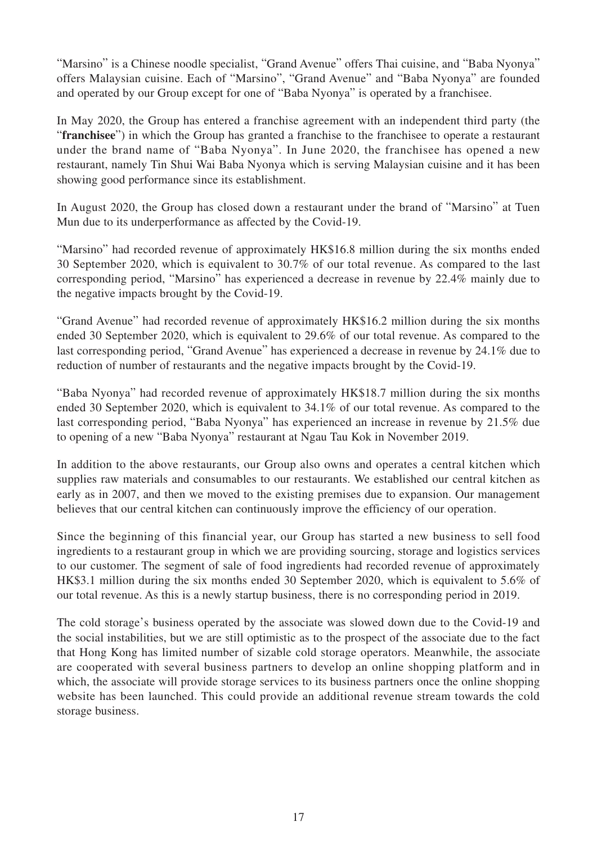"Marsino" is a Chinese noodle specialist, "Grand Avenue" offers Thai cuisine, and "Baba Nyonya" offers Malaysian cuisine. Each of "Marsino", "Grand Avenue" and "Baba Nyonya" are founded and operated by our Group except for one of "Baba Nyonya" is operated by a franchisee.

In May 2020, the Group has entered a franchise agreement with an independent third party (the "**franchisee**") in which the Group has granted a franchise to the franchisee to operate a restaurant under the brand name of "Baba Nyonya". In June 2020, the franchisee has opened a new restaurant, namely Tin Shui Wai Baba Nyonya which is serving Malaysian cuisine and it has been showing good performance since its establishment.

In August 2020, the Group has closed down a restaurant under the brand of "Marsino" at Tuen Mun due to its underperformance as affected by the Covid-19.

"Marsino" had recorded revenue of approximately HK\$16.8 million during the six months ended 30 September 2020, which is equivalent to 30.7% of our total revenue. As compared to the last corresponding period, "Marsino" has experienced a decrease in revenue by 22.4% mainly due to the negative impacts brought by the Covid-19.

"Grand Avenue" had recorded revenue of approximately HK\$16.2 million during the six months ended 30 September 2020, which is equivalent to 29.6% of our total revenue. As compared to the last corresponding period, "Grand Avenue" has experienced a decrease in revenue by 24.1% due to reduction of number of restaurants and the negative impacts brought by the Covid-19.

"Baba Nyonya" had recorded revenue of approximately HK\$18.7 million during the six months ended 30 September 2020, which is equivalent to 34.1% of our total revenue. As compared to the last corresponding period, "Baba Nyonya" has experienced an increase in revenue by 21.5% due to opening of a new "Baba Nyonya" restaurant at Ngau Tau Kok in November 2019.

In addition to the above restaurants, our Group also owns and operates a central kitchen which supplies raw materials and consumables to our restaurants. We established our central kitchen as early as in 2007, and then we moved to the existing premises due to expansion. Our management believes that our central kitchen can continuously improve the efficiency of our operation.

Since the beginning of this financial year, our Group has started a new business to sell food ingredients to a restaurant group in which we are providing sourcing, storage and logistics services to our customer. The segment of sale of food ingredients had recorded revenue of approximately HK\$3.1 million during the six months ended 30 September 2020, which is equivalent to 5.6% of our total revenue. As this is a newly startup business, there is no corresponding period in 2019.

The cold storage's business operated by the associate was slowed down due to the Covid-19 and the social instabilities, but we are still optimistic as to the prospect of the associate due to the fact that Hong Kong has limited number of sizable cold storage operators. Meanwhile, the associate are cooperated with several business partners to develop an online shopping platform and in which, the associate will provide storage services to its business partners once the online shopping website has been launched. This could provide an additional revenue stream towards the cold storage business.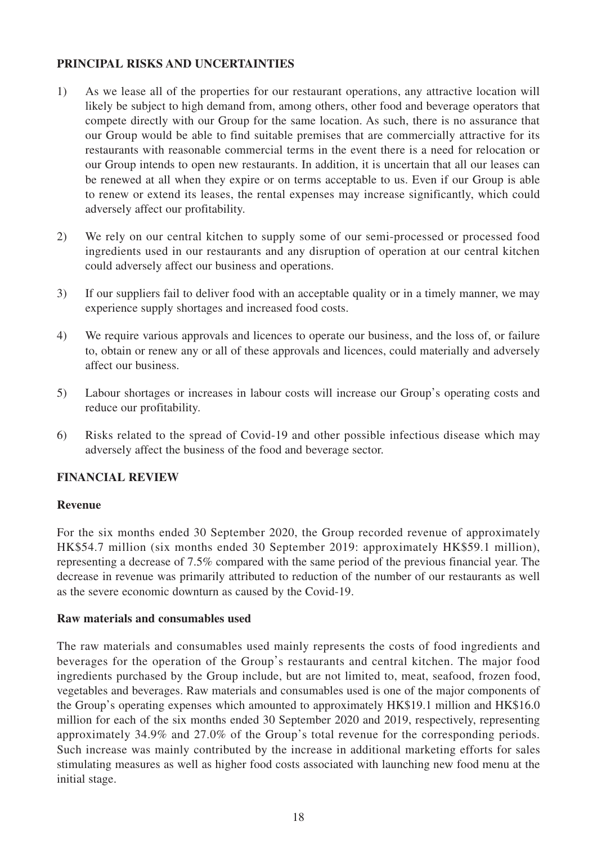### **PRINCIPAL RISKS AND UNCERTAINTIES**

- 1) As we lease all of the properties for our restaurant operations, any attractive location will likely be subject to high demand from, among others, other food and beverage operators that compete directly with our Group for the same location. As such, there is no assurance that our Group would be able to find suitable premises that are commercially attractive for its restaurants with reasonable commercial terms in the event there is a need for relocation or our Group intends to open new restaurants. In addition, it is uncertain that all our leases can be renewed at all when they expire or on terms acceptable to us. Even if our Group is able to renew or extend its leases, the rental expenses may increase significantly, which could adversely affect our profitability.
- 2) We rely on our central kitchen to supply some of our semi-processed or processed food ingredients used in our restaurants and any disruption of operation at our central kitchen could adversely affect our business and operations.
- 3) If our suppliers fail to deliver food with an acceptable quality or in a timely manner, we may experience supply shortages and increased food costs.
- 4) We require various approvals and licences to operate our business, and the loss of, or failure to, obtain or renew any or all of these approvals and licences, could materially and adversely affect our business.
- 5) Labour shortages or increases in labour costs will increase our Group's operating costs and reduce our profitability.
- 6) Risks related to the spread of Covid-19 and other possible infectious disease which may adversely affect the business of the food and beverage sector.

### **FINANCIAL REVIEW**

### **Revenue**

For the six months ended 30 September 2020, the Group recorded revenue of approximately HK\$54.7 million (six months ended 30 September 2019: approximately HK\$59.1 million), representing a decrease of 7.5% compared with the same period of the previous financial year. The decrease in revenue was primarily attributed to reduction of the number of our restaurants as well as the severe economic downturn as caused by the Covid-19.

#### **Raw materials and consumables used**

The raw materials and consumables used mainly represents the costs of food ingredients and beverages for the operation of the Group's restaurants and central kitchen. The major food ingredients purchased by the Group include, but are not limited to, meat, seafood, frozen food, vegetables and beverages. Raw materials and consumables used is one of the major components of the Group's operating expenses which amounted to approximately HK\$19.1 million and HK\$16.0 million for each of the six months ended 30 September 2020 and 2019, respectively, representing approximately 34.9% and 27.0% of the Group's total revenue for the corresponding periods. Such increase was mainly contributed by the increase in additional marketing efforts for sales stimulating measures as well as higher food costs associated with launching new food menu at the initial stage.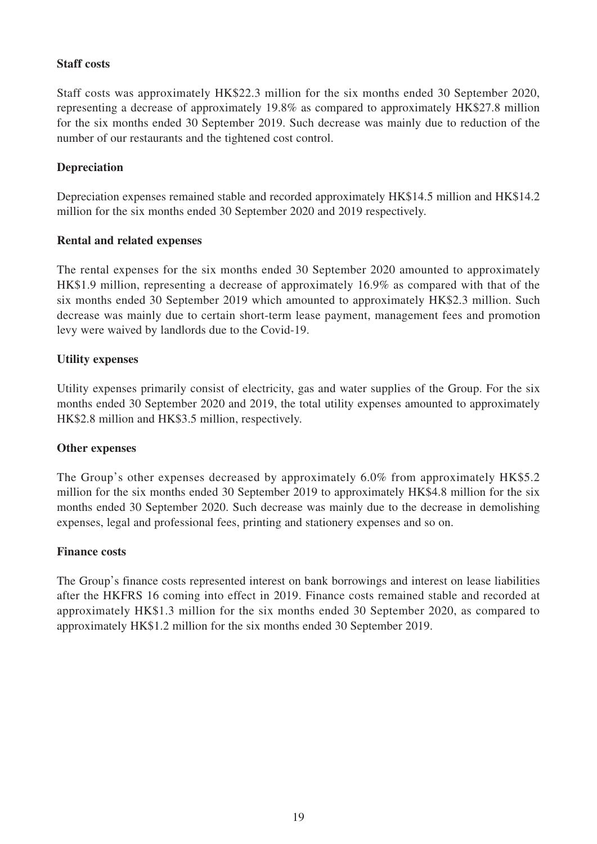### **Staff costs**

Staff costs was approximately HK\$22.3 million for the six months ended 30 September 2020, representing a decrease of approximately 19.8% as compared to approximately HK\$27.8 million for the six months ended 30 September 2019. Such decrease was mainly due to reduction of the number of our restaurants and the tightened cost control.

### **Depreciation**

Depreciation expenses remained stable and recorded approximately HK\$14.5 million and HK\$14.2 million for the six months ended 30 September 2020 and 2019 respectively.

### **Rental and related expenses**

The rental expenses for the six months ended 30 September 2020 amounted to approximately HK\$1.9 million, representing a decrease of approximately 16.9% as compared with that of the six months ended 30 September 2019 which amounted to approximately HK\$2.3 million. Such decrease was mainly due to certain short-term lease payment, management fees and promotion levy were waived by landlords due to the Covid-19.

### **Utility expenses**

Utility expenses primarily consist of electricity, gas and water supplies of the Group. For the six months ended 30 September 2020 and 2019, the total utility expenses amounted to approximately HK\$2.8 million and HK\$3.5 million, respectively.

### **Other expenses**

The Group's other expenses decreased by approximately 6.0% from approximately HK\$5.2 million for the six months ended 30 September 2019 to approximately HK\$4.8 million for the six months ended 30 September 2020. Such decrease was mainly due to the decrease in demolishing expenses, legal and professional fees, printing and stationery expenses and so on.

#### **Finance costs**

The Group's finance costs represented interest on bank borrowings and interest on lease liabilities after the HKFRS 16 coming into effect in 2019. Finance costs remained stable and recorded at approximately HK\$1.3 million for the six months ended 30 September 2020, as compared to approximately HK\$1.2 million for the six months ended 30 September 2019.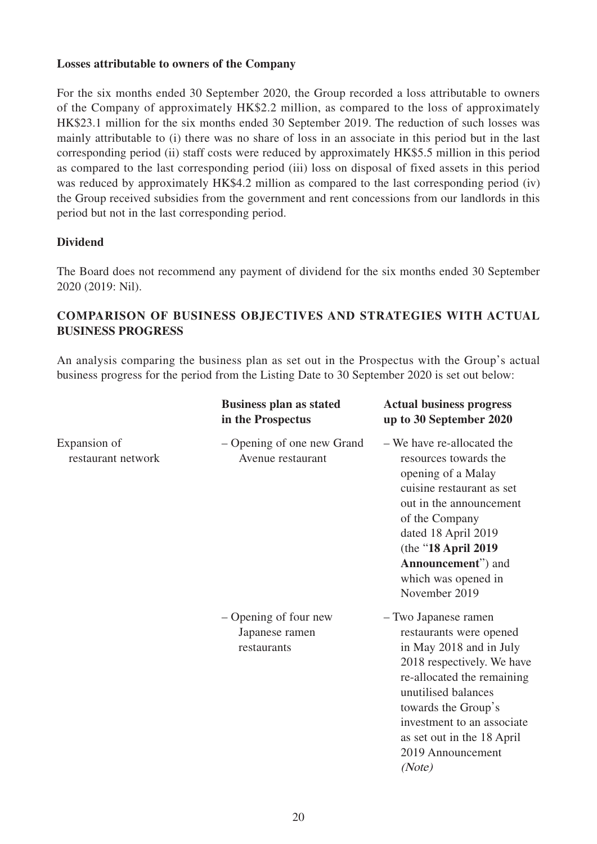### **Losses attributable to owners of the Company**

For the six months ended 30 September 2020, the Group recorded a loss attributable to owners of the Company of approximately HK\$2.2 million, as compared to the loss of approximately HK\$23.1 million for the six months ended 30 September 2019. The reduction of such losses was mainly attributable to (i) there was no share of loss in an associate in this period but in the last corresponding period (ii) staff costs were reduced by approximately HK\$5.5 million in this period as compared to the last corresponding period (iii) loss on disposal of fixed assets in this period was reduced by approximately HK\$4.2 million as compared to the last corresponding period (iv) the Group received subsidies from the government and rent concessions from our landlords in this period but not in the last corresponding period.

### **Dividend**

The Board does not recommend any payment of dividend for the six months ended 30 September 2020 (2019: Nil).

### **COMPARISON OF BUSINESS OBJECTIVES AND STRATEGIES WITH ACTUAL BUSINESS PROGRESS**

An analysis comparing the business plan as set out in the Prospectus with the Group's actual business progress for the period from the Listing Date to 30 September 2020 is set out below:

|                                    | <b>Business plan as stated</b><br>in the Prospectus    | <b>Actual business progress</b><br>up to 30 September 2020                                                                                                                                                                                                                      |
|------------------------------------|--------------------------------------------------------|---------------------------------------------------------------------------------------------------------------------------------------------------------------------------------------------------------------------------------------------------------------------------------|
| Expansion of<br>restaurant network | - Opening of one new Grand<br>Avenue restaurant        | - We have re-allocated the<br>resources towards the<br>opening of a Malay<br>cuisine restaurant as set<br>out in the announcement<br>of the Company<br>dated 18 April 2019<br>(the "18 April 2019<br>Announcement") and<br>which was opened in<br>November 2019                 |
|                                    | – Opening of four new<br>Japanese ramen<br>restaurants | - Two Japanese ramen<br>restaurants were opened<br>in May 2018 and in July<br>2018 respectively. We have<br>re-allocated the remaining<br>unutilised balances<br>towards the Group's<br>investment to an associate<br>as set out in the 18 April<br>2019 Announcement<br>(Note) |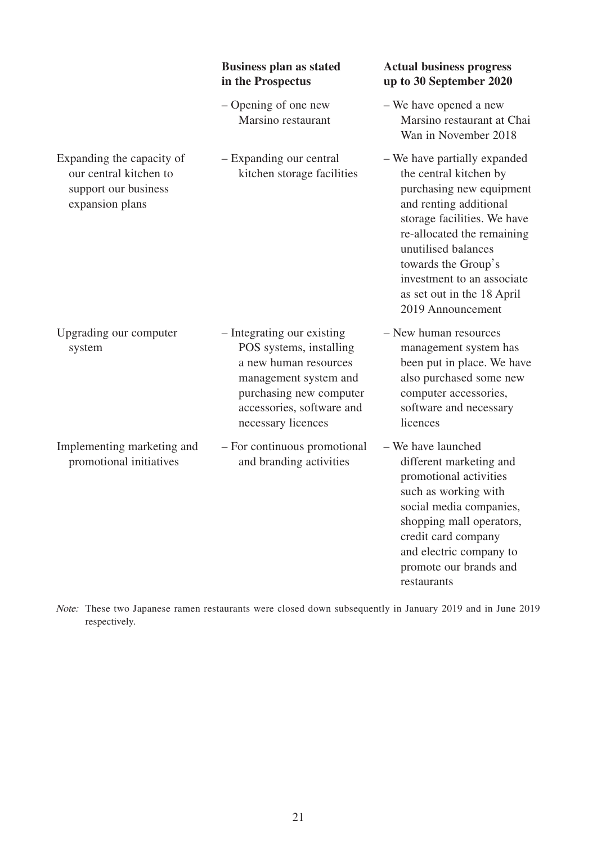|                                                                                                | <b>Business plan as stated</b><br>in the Prospectus                                                                                                                                   | <b>Actual business progress</b><br>up to 30 September 2020                                                                                                                                                                                                                                               |
|------------------------------------------------------------------------------------------------|---------------------------------------------------------------------------------------------------------------------------------------------------------------------------------------|----------------------------------------------------------------------------------------------------------------------------------------------------------------------------------------------------------------------------------------------------------------------------------------------------------|
|                                                                                                | - Opening of one new<br>Marsino restaurant                                                                                                                                            | - We have opened a new<br>Marsino restaurant at Chai<br>Wan in November 2018                                                                                                                                                                                                                             |
| Expanding the capacity of<br>our central kitchen to<br>support our business<br>expansion plans | - Expanding our central<br>kitchen storage facilities                                                                                                                                 | - We have partially expanded<br>the central kitchen by<br>purchasing new equipment<br>and renting additional<br>storage facilities. We have<br>re-allocated the remaining<br>unutilised balances<br>towards the Group's<br>investment to an associate<br>as set out in the 18 April<br>2019 Announcement |
| Upgrading our computer<br>system                                                               | - Integrating our existing<br>POS systems, installing<br>a new human resources<br>management system and<br>purchasing new computer<br>accessories, software and<br>necessary licences | - New human resources<br>management system has<br>been put in place. We have<br>also purchased some new<br>computer accessories,<br>software and necessary<br>licences                                                                                                                                   |
| Implementing marketing and<br>promotional initiatives                                          | - For continuous promotional<br>and branding activities                                                                                                                               | - We have launched<br>different marketing and<br>promotional activities<br>such as working with<br>social media companies,<br>shopping mall operators,<br>credit card company<br>and electric company to<br>promote our brands and<br>restaurants                                                        |

Note: These two Japanese ramen restaurants were closed down subsequently in January 2019 and in June 2019 respectively.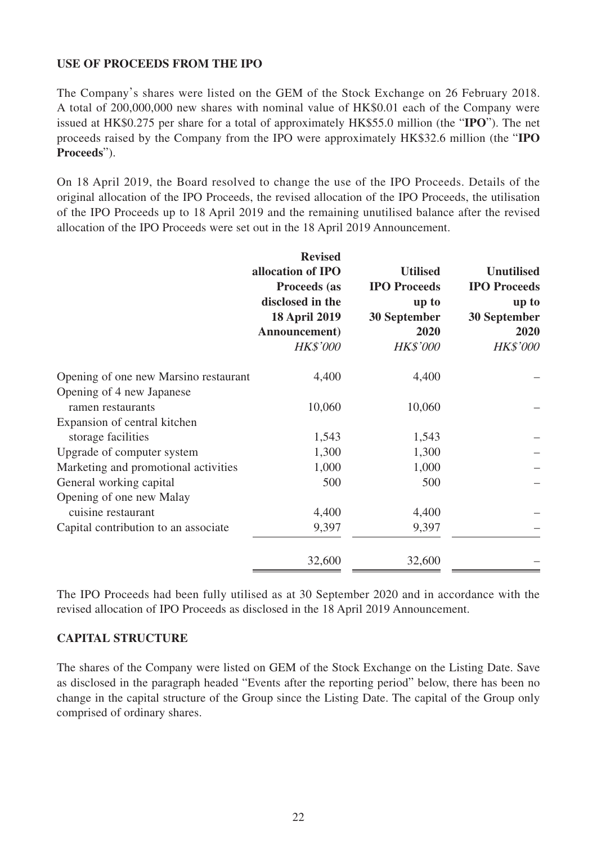### **USE OF PROCEEDS FROM THE IPO**

The Company's shares were listed on the GEM of the Stock Exchange on 26 February 2018. A total of 200,000,000 new shares with nominal value of HK\$0.01 each of the Company were issued at HK\$0.275 per share for a total of approximately HK\$55.0 million (the "**IPO**"). The net proceeds raised by the Company from the IPO were approximately HK\$32.6 million (the "**IPO Proceeds**").

On 18 April 2019, the Board resolved to change the use of the IPO Proceeds. Details of the original allocation of the IPO Proceeds, the revised allocation of the IPO Proceeds, the utilisation of the IPO Proceeds up to 18 April 2019 and the remaining unutilised balance after the revised allocation of the IPO Proceeds were set out in the 18 April 2019 Announcement.

|                                                    | <b>Revised</b><br>allocation of IPO<br>Proceeds (as<br>disclosed in the<br><b>18 April 2019</b><br>Announcement) | <b>Utilised</b><br><b>IPO</b> Proceeds<br>up to<br>30 September<br>2020 | <b>Unutilised</b><br><b>IPO</b> Proceeds<br>up to<br>30 September<br>2020 |
|----------------------------------------------------|------------------------------------------------------------------------------------------------------------------|-------------------------------------------------------------------------|---------------------------------------------------------------------------|
|                                                    | <b>HK\$'000</b>                                                                                                  | <b>HK\$'000</b>                                                         | <b>HK\$'000</b>                                                           |
| Opening of one new Marsino restaurant              | 4,400                                                                                                            | 4,400                                                                   |                                                                           |
| Opening of 4 new Japanese<br>ramen restaurants     | 10,060                                                                                                           | 10,060                                                                  |                                                                           |
| Expansion of central kitchen<br>storage facilities | 1,543                                                                                                            | 1,543                                                                   |                                                                           |
| Upgrade of computer system                         | 1,300                                                                                                            | 1,300                                                                   |                                                                           |
| Marketing and promotional activities               | 1,000                                                                                                            | 1,000                                                                   |                                                                           |
| General working capital                            | 500                                                                                                              | 500                                                                     |                                                                           |
| Opening of one new Malay<br>cuisine restaurant     | 4,400                                                                                                            | 4,400                                                                   |                                                                           |
| Capital contribution to an associate               | 9,397                                                                                                            | 9,397                                                                   |                                                                           |
|                                                    | 32,600                                                                                                           | 32,600                                                                  |                                                                           |

The IPO Proceeds had been fully utilised as at 30 September 2020 and in accordance with the revised allocation of IPO Proceeds as disclosed in the 18 April 2019 Announcement.

### **CAPITAL STRUCTURE**

The shares of the Company were listed on GEM of the Stock Exchange on the Listing Date. Save as disclosed in the paragraph headed "Events after the reporting period" below, there has been no change in the capital structure of the Group since the Listing Date. The capital of the Group only comprised of ordinary shares.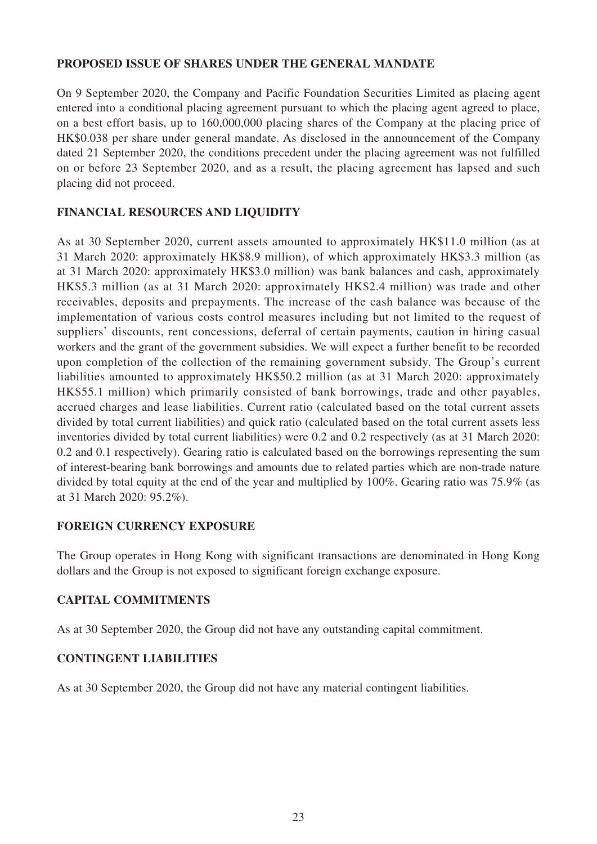### **PROPOSED ISSUE OF SHARES UNDER THE GENERAL MANDATE**

On 9 September 2020, the Company and Pacific Foundation Securities Limited as placing agent entered into a conditional placing agreement pursuant to which the placing agent agreed to place, on a best effort basis, up to 160,000,000 placing shares of the Company at the placing price of HK\$0.038 per share under general mandate. As disclosed in the announcement of the Company dated 21 September 2020, the conditions precedent under the placing agreement was not fulfilled on or before 23 September 2020, and as a result, the placing agreement has lapsed and such placing did not proceed.

# **FINANCIAL RESOURCES AND LIQUIDITY**

As at 30 September 2020, current assets amounted to approximately HK\$11.0 million (as at 31 March 2020: approximately HK\$8.9 million), of which approximately HK\$3.3 million (as at 31 March 2020: approximately HK\$3.0 million) was bank balances and cash, approximately HK\$5.3 million (as at 31 March 2020: approximately HK\$2.4 million) was trade and other receivables, deposits and prepayments. The increase of the cash balance was because of the implementation of various costs control measures including but not limited to the request of suppliers' discounts, rent concessions, deferral of certain payments, caution in hiring casual workers and the grant of the government subsidies. We will expect a further benefit to be recorded upon completion of the collection of the remaining government subsidy. The Group's current liabilities amounted to approximately HK\$50.2 million (as at 31 March 2020: approximately HK\$55.1 million) which primarily consisted of bank borrowings, trade and other payables, accrued charges and lease liabilities. Current ratio (calculated based on the total current assets divided by total current liabilities) and quick ratio (calculated based on the total current assets less inventories divided by total current liabilities) were 0.2 and 0.2 respectively (as at 31 March 2020: 0.2 and 0.1 respectively). Gearing ratio is calculated based on the borrowings representing the sum of interest-bearing bank borrowings and amounts due to related parties which are non-trade nature divided by total equity at the end of the year and multiplied by 100%. Gearing ratio was 75.9% (as at 31 March 2020: 95.2%).

### **FOREIGN CURRENCY EXPOSURE**

The Group operates in Hong Kong with significant transactions are denominated in Hong Kong dollars and the Group is not exposed to significant foreign exchange exposure.

### **CAPITAL COMMITMENTS**

As at 30 September 2020, the Group did not have any outstanding capital commitment.

### **CONTINGENT LIABILITIES**

As at 30 September 2020, the Group did not have any material contingent liabilities.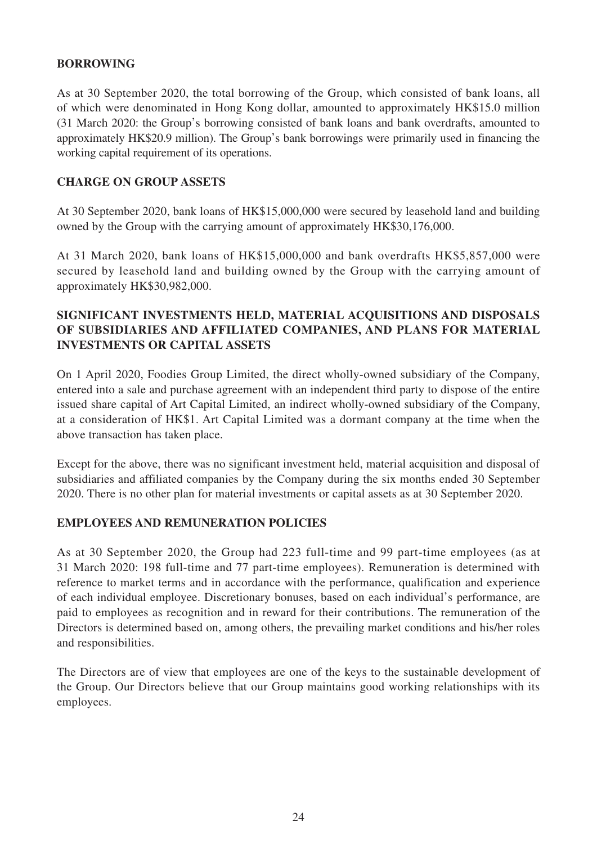### **BORROWING**

As at 30 September 2020, the total borrowing of the Group, which consisted of bank loans, all of which were denominated in Hong Kong dollar, amounted to approximately HK\$15.0 million (31 March 2020: the Group's borrowing consisted of bank loans and bank overdrafts, amounted to approximately HK\$20.9 million). The Group's bank borrowings were primarily used in financing the working capital requirement of its operations.

#### **CHARGE ON GROUP ASSETS**

At 30 September 2020, bank loans of HK\$15,000,000 were secured by leasehold land and building owned by the Group with the carrying amount of approximately HK\$30,176,000.

At 31 March 2020, bank loans of HK\$15,000,000 and bank overdrafts HK\$5,857,000 were secured by leasehold land and building owned by the Group with the carrying amount of approximately HK\$30,982,000.

# **SIGNIFICANT INVESTMENTS HELD, MATERIAL ACQUISITIONS AND DISPOSALS OF SUBSIDIARIES AND AFFILIATED COMPANIES, AND PLANS FOR MATERIAL INVESTMENTS OR CAPITAL ASSETS**

On 1 April 2020, Foodies Group Limited, the direct wholly-owned subsidiary of the Company, entered into a sale and purchase agreement with an independent third party to dispose of the entire issued share capital of Art Capital Limited, an indirect wholly-owned subsidiary of the Company, at a consideration of HK\$1. Art Capital Limited was a dormant company at the time when the above transaction has taken place.

Except for the above, there was no significant investment held, material acquisition and disposal of subsidiaries and affiliated companies by the Company during the six months ended 30 September 2020. There is no other plan for material investments or capital assets as at 30 September 2020.

### **EMPLOYEES AND REMUNERATION POLICIES**

As at 30 September 2020, the Group had 223 full-time and 99 part-time employees (as at 31 March 2020: 198 full-time and 77 part-time employees). Remuneration is determined with reference to market terms and in accordance with the performance, qualification and experience of each individual employee. Discretionary bonuses, based on each individual's performance, are paid to employees as recognition and in reward for their contributions. The remuneration of the Directors is determined based on, among others, the prevailing market conditions and his/her roles and responsibilities.

The Directors are of view that employees are one of the keys to the sustainable development of the Group. Our Directors believe that our Group maintains good working relationships with its employees.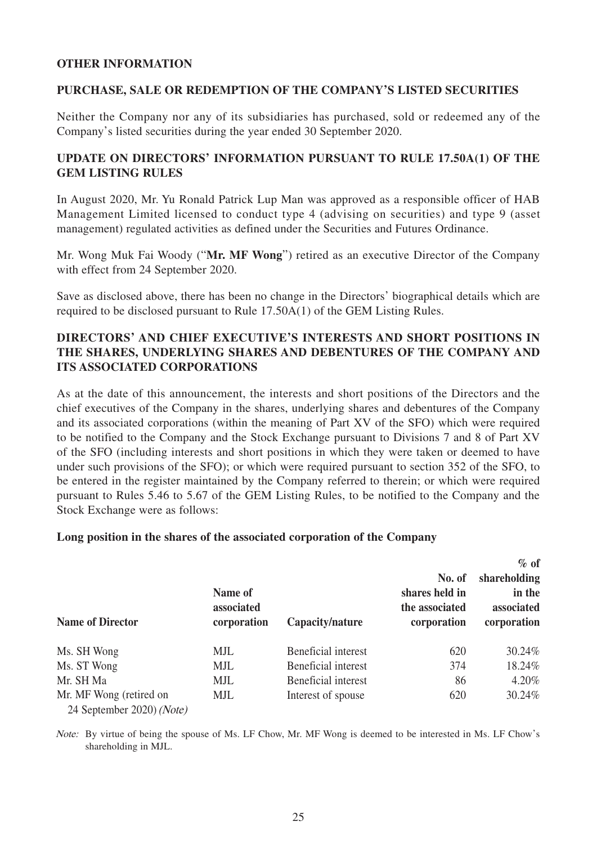#### **OTHER INFORMATION**

#### **PURCHASE, SALE OR REDEMPTION OF THE COMPANY'S LISTED SECURITIES**

Neither the Company nor any of its subsidiaries has purchased, sold or redeemed any of the Company's listed securities during the year ended 30 September 2020.

### **UPDATE ON DIRECTORS' INFORMATION PURSUANT TO RULE 17.50A(1) OF THE GEM LISTING RULES**

In August 2020, Mr. Yu Ronald Patrick Lup Man was approved as a responsible officer of HAB Management Limited licensed to conduct type 4 (advising on securities) and type 9 (asset management) regulated activities as defined under the Securities and Futures Ordinance.

Mr. Wong Muk Fai Woody ("**Mr. MF Wong**") retired as an executive Director of the Company with effect from 24 September 2020.

Save as disclosed above, there has been no change in the Directors' biographical details which are required to be disclosed pursuant to Rule 17.50A(1) of the GEM Listing Rules.

### **DIRECTORS' AND CHIEF EXECUTIVE'S INTERESTS AND SHORT POSITIONS IN THE SHARES, UNDERLYING SHARES AND DEBENTURES OF THE COMPANY AND ITS ASSOCIATED CORPORATIONS**

As at the date of this announcement, the interests and short positions of the Directors and the chief executives of the Company in the shares, underlying shares and debentures of the Company and its associated corporations (within the meaning of Part XV of the SFO) which were required to be notified to the Company and the Stock Exchange pursuant to Divisions 7 and 8 of Part XV of the SFO (including interests and short positions in which they were taken or deemed to have under such provisions of the SFO); or which were required pursuant to section 352 of the SFO, to be entered in the register maintained by the Company referred to therein; or which were required pursuant to Rules 5.46 to 5.67 of the GEM Listing Rules, to be notified to the Company and the Stock Exchange were as follows:

#### **Long position in the shares of the associated corporation of the Company**

| <b>Name of Director</b>                              | Name of<br>associated<br>corporation | Capacity/nature     | No. of<br>shares held in<br>the associated<br>corporation | $\%$ of<br>shareholding<br>in the<br>associated<br>corporation |
|------------------------------------------------------|--------------------------------------|---------------------|-----------------------------------------------------------|----------------------------------------------------------------|
| Ms. SH Wong                                          | MJL                                  | Beneficial interest | 620                                                       | 30.24%                                                         |
| Ms. ST Wong                                          | MJL                                  | Beneficial interest | 374                                                       | 18.24%                                                         |
| Mr. SH Ma                                            | MJL                                  | Beneficial interest | 86                                                        | $4.20\%$                                                       |
| Mr. MF Wong (retired on<br>24 September 2020) (Note) | MJL                                  | Interest of spouse  | 620                                                       | 30.24%                                                         |

Note: By virtue of being the spouse of Ms. LF Chow, Mr. MF Wong is deemed to be interested in Ms. LF Chow's shareholding in MJL.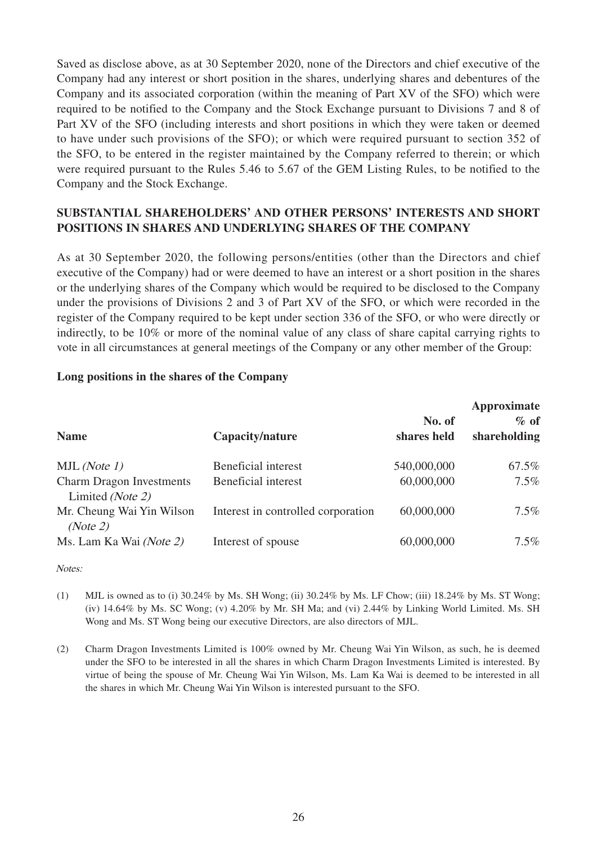Saved as disclose above, as at 30 September 2020, none of the Directors and chief executive of the Company had any interest or short position in the shares, underlying shares and debentures of the Company and its associated corporation (within the meaning of Part XV of the SFO) which were required to be notified to the Company and the Stock Exchange pursuant to Divisions 7 and 8 of Part XV of the SFO (including interests and short positions in which they were taken or deemed to have under such provisions of the SFO); or which were required pursuant to section 352 of the SFO, to be entered in the register maintained by the Company referred to therein; or which were required pursuant to the Rules 5.46 to 5.67 of the GEM Listing Rules, to be notified to the Company and the Stock Exchange.

# **SUBSTANTIAL SHAREHOLDERS' AND OTHER PERSONS' INTERESTS AND SHORT POSITIONS IN SHARES AND UNDERLYING SHARES OF THE COMPANY**

As at 30 September 2020, the following persons/entities (other than the Directors and chief executive of the Company) had or were deemed to have an interest or a short position in the shares or the underlying shares of the Company which would be required to be disclosed to the Company under the provisions of Divisions 2 and 3 of Part XV of the SFO, or which were recorded in the register of the Company required to be kept under section 336 of the SFO, or who were directly or indirectly, to be 10% or more of the nominal value of any class of share capital carrying rights to vote in all circumstances at general meetings of the Company or any other member of the Group:

#### **Long positions in the shares of the Company**

| <b>Name</b>                                         | Capacity/nature                    | No. of<br>shares held | Approximate<br>$\%$ of<br>shareholding |
|-----------------------------------------------------|------------------------------------|-----------------------|----------------------------------------|
|                                                     |                                    |                       |                                        |
| MJL ( <i>Note 1</i> )                               | Beneficial interest                | 540,000,000           | 67.5%                                  |
| <b>Charm Dragon Investments</b><br>Limited (Note 2) | Beneficial interest                | 60,000,000            | $7.5\%$                                |
| Mr. Cheung Wai Yin Wilson<br>(Note 2)               | Interest in controlled corporation | 60,000,000            | $7.5\%$                                |
| Ms. Lam Ka Wai (Note 2)                             | Interest of spouse                 | 60,000,000            | $7.5\%$                                |

#### Notes:

- (1) MJL is owned as to (i)  $30.24\%$  by Ms. SH Wong; (ii)  $30.24\%$  by Ms. LF Chow; (iii)  $18.24\%$  by Ms. ST Wong; (iv) 14.64% by Ms. SC Wong; (v) 4.20% by Mr. SH Ma; and (vi) 2.44% by Linking World Limited. Ms. SH Wong and Ms. ST Wong being our executive Directors, are also directors of MJL.
- (2) Charm Dragon Investments Limited is 100% owned by Mr. Cheung Wai Yin Wilson, as such, he is deemed under the SFO to be interested in all the shares in which Charm Dragon Investments Limited is interested. By virtue of being the spouse of Mr. Cheung Wai Yin Wilson, Ms. Lam Ka Wai is deemed to be interested in all the shares in which Mr. Cheung Wai Yin Wilson is interested pursuant to the SFO.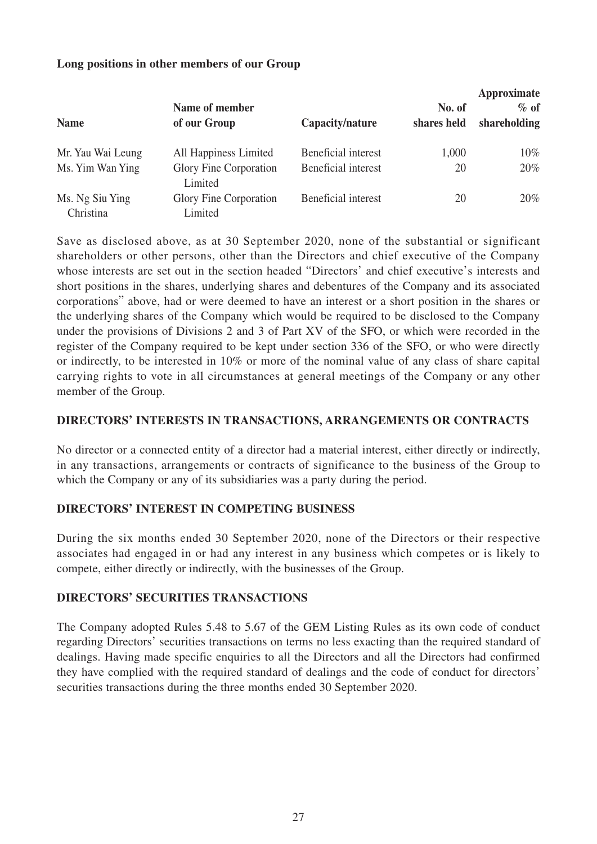| <b>Name</b>                  | Name of member<br>of our Group    | Capacity/nature     | No. of<br>shares held | Approximate<br>$\%$ of<br>shareholding |
|------------------------------|-----------------------------------|---------------------|-----------------------|----------------------------------------|
| Mr. Yau Wai Leung            | All Happiness Limited             | Beneficial interest | 1,000                 | $10\%$                                 |
| Ms. Yim Wan Ying             | Glory Fine Corporation<br>Limited | Beneficial interest | 20                    | 20%                                    |
| Ms. Ng Siu Ying<br>Christina | Glory Fine Corporation<br>Limited | Beneficial interest | 20                    | $20\%$                                 |

#### **Long positions in other members of our Group**

Save as disclosed above, as at 30 September 2020, none of the substantial or significant shareholders or other persons, other than the Directors and chief executive of the Company whose interests are set out in the section headed "Directors' and chief executive's interests and short positions in the shares, underlying shares and debentures of the Company and its associated corporations" above, had or were deemed to have an interest or a short position in the shares or the underlying shares of the Company which would be required to be disclosed to the Company under the provisions of Divisions 2 and 3 of Part XV of the SFO, or which were recorded in the register of the Company required to be kept under section 336 of the SFO, or who were directly or indirectly, to be interested in 10% or more of the nominal value of any class of share capital carrying rights to vote in all circumstances at general meetings of the Company or any other member of the Group.

#### **DIRECTORS' INTERESTS IN TRANSACTIONS, ARRANGEMENTS OR CONTRACTS**

No director or a connected entity of a director had a material interest, either directly or indirectly, in any transactions, arrangements or contracts of significance to the business of the Group to which the Company or any of its subsidiaries was a party during the period.

### **DIRECTORS' INTEREST IN COMPETING BUSINESS**

During the six months ended 30 September 2020, none of the Directors or their respective associates had engaged in or had any interest in any business which competes or is likely to compete, either directly or indirectly, with the businesses of the Group.

#### **DIRECTORS' SECURITIES TRANSACTIONS**

The Company adopted Rules 5.48 to 5.67 of the GEM Listing Rules as its own code of conduct regarding Directors' securities transactions on terms no less exacting than the required standard of dealings. Having made specific enquiries to all the Directors and all the Directors had confirmed they have complied with the required standard of dealings and the code of conduct for directors' securities transactions during the three months ended 30 September 2020.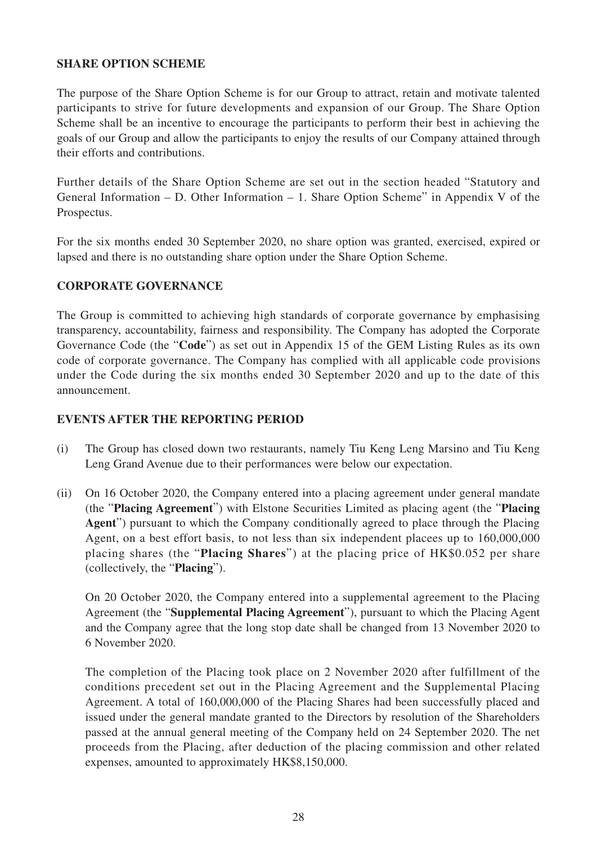### **SHARE OPTION SCHEME**

The purpose of the Share Option Scheme is for our Group to attract, retain and motivate talented participants to strive for future developments and expansion of our Group. The Share Option Scheme shall be an incentive to encourage the participants to perform their best in achieving the goals of our Group and allow the participants to enjoy the results of our Company attained through their efforts and contributions.

Further details of the Share Option Scheme are set out in the section headed "Statutory and General Information – D. Other Information – 1. Share Option Scheme" in Appendix V of the Prospectus.

For the six months ended 30 September 2020, no share option was granted, exercised, expired or lapsed and there is no outstanding share option under the Share Option Scheme.

#### **CORPORATE GOVERNANCE**

The Group is committed to achieving high standards of corporate governance by emphasising transparency, accountability, fairness and responsibility. The Company has adopted the Corporate Governance Code (the "**Code**") as set out in Appendix 15 of the GEM Listing Rules as its own code of corporate governance. The Company has complied with all applicable code provisions under the Code during the six months ended 30 September 2020 and up to the date of this announcement.

#### **EVENTS AFTER THE REPORTING PERIOD**

- (i) The Group has closed down two restaurants, namely Tiu Keng Leng Marsino and Tiu Keng Leng Grand Avenue due to their performances were below our expectation.
- (ii) On 16 October 2020, the Company entered into a placing agreement under general mandate (the "**Placing Agreement**") with Elstone Securities Limited as placing agent (the "**Placing Agent**") pursuant to which the Company conditionally agreed to place through the Placing Agent, on a best effort basis, to not less than six independent placees up to 160,000,000 placing shares (the "**Placing Shares**") at the placing price of HK\$0.052 per share (collectively, the "**Placing**").

On 20 October 2020, the Company entered into a supplemental agreement to the Placing Agreement (the "**Supplemental Placing Agreement**"), pursuant to which the Placing Agent and the Company agree that the long stop date shall be changed from 13 November 2020 to 6 November 2020.

The completion of the Placing took place on 2 November 2020 after fulfillment of the conditions precedent set out in the Placing Agreement and the Supplemental Placing Agreement. A total of 160,000,000 of the Placing Shares had been successfully placed and issued under the general mandate granted to the Directors by resolution of the Shareholders passed at the annual general meeting of the Company held on 24 September 2020. The net proceeds from the Placing, after deduction of the placing commission and other related expenses, amounted to approximately HK\$8,150,000.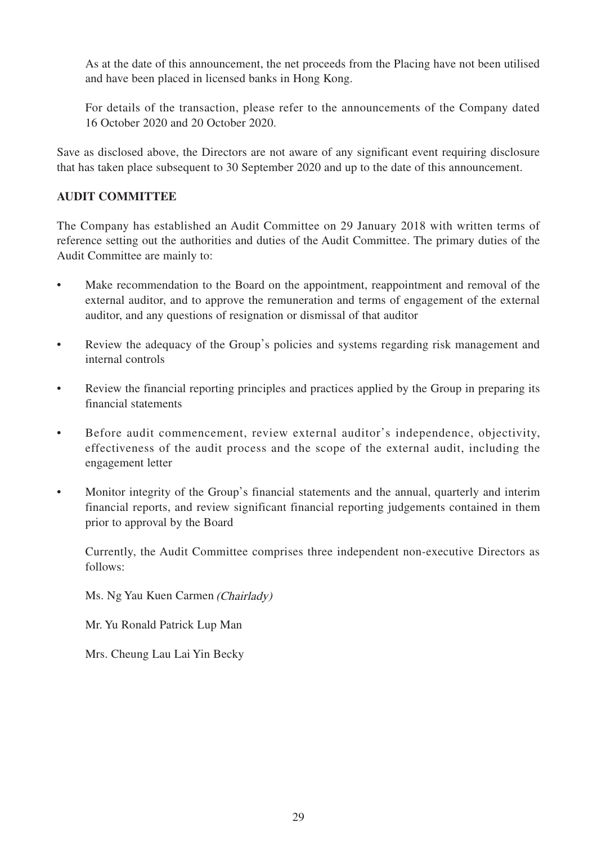As at the date of this announcement, the net proceeds from the Placing have not been utilised and have been placed in licensed banks in Hong Kong.

For details of the transaction, please refer to the announcements of the Company dated 16 October 2020 and 20 October 2020.

Save as disclosed above, the Directors are not aware of any significant event requiring disclosure that has taken place subsequent to 30 September 2020 and up to the date of this announcement.

### **AUDIT COMMITTEE**

The Company has established an Audit Committee on 29 January 2018 with written terms of reference setting out the authorities and duties of the Audit Committee. The primary duties of the Audit Committee are mainly to:

- Make recommendation to the Board on the appointment, reappointment and removal of the external auditor, and to approve the remuneration and terms of engagement of the external auditor, and any questions of resignation or dismissal of that auditor
- Review the adequacy of the Group's policies and systems regarding risk management and internal controls
- Review the financial reporting principles and practices applied by the Group in preparing its financial statements
- Before audit commencement, review external auditor's independence, objectivity, effectiveness of the audit process and the scope of the external audit, including the engagement letter
- Monitor integrity of the Group's financial statements and the annual, quarterly and interim financial reports, and review significant financial reporting judgements contained in them prior to approval by the Board

Currently, the Audit Committee comprises three independent non-executive Directors as follows:

Ms. Ng Yau Kuen Carmen (Chairlady)

Mr. Yu Ronald Patrick Lup Man

Mrs. Cheung Lau Lai Yin Becky